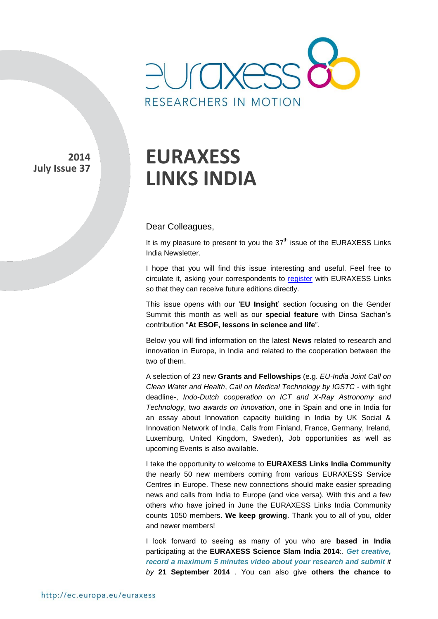

**2014 July Issue 37** 

# **EURAXESS LINKS INDIA**

#### Dear Colleagues,

It is my pleasure to present to you the  $37<sup>th</sup>$  issue of the EURAXESS Links India Newsletter.

I hope that you will find this issue interesting and useful. Feel free to circulate it, asking your correspondents to [register](http://europa.eu/sinapse/directaccess/euraxess-links-india/join) with EURAXESS Links so that they can receive future editions directly.

This issue opens with our '**EU Insight**' section focusing on the Gender Summit this month as well as our **special feature** with Dinsa Sachan's contribution "**At ESOF, lessons in science and life**".

Below you will find information on the latest **News** related to research and innovation in Europe, in India and related to the cooperation between the two of them.

A selection of 23 new **Grants and Fellowships** (e.g. *EU-India Joint Call on Clean Water and Health*, *Call on Medical Technology by IGSTC* - with tight deadline-, *Indo-Dutch cooperation on ICT and X-Ray Astronomy and Technology*, two *awards on innovation*, one in Spain and one in India for an essay about Innovation capacity building in India by UK Social & Innovation Network of India, Calls from Finland, France, Germany, Ireland, Luxemburg, United Kingdom, Sweden), Job opportunities as well as upcoming Events is also available.

I take the opportunity to welcome to **EURAXESS Links India Community** the nearly 50 new members coming from various EURAXESS Service Centres in Europe. These new connections should make easier spreading news and calls from India to Europe (and vice versa). With this and a few others who have joined in June the EURAXESS Links India Community counts 1050 members. **We keep growing**. Thank you to all of you, older and newer members!

I look forward to seeing as many of you who are **based in India** participating at the **EURAXESS Science Slam India 2014**:. *Get creative, record a maximum 5 minutes video about your research and submit it by* **21 September 2014** . You can also give **others the chance to**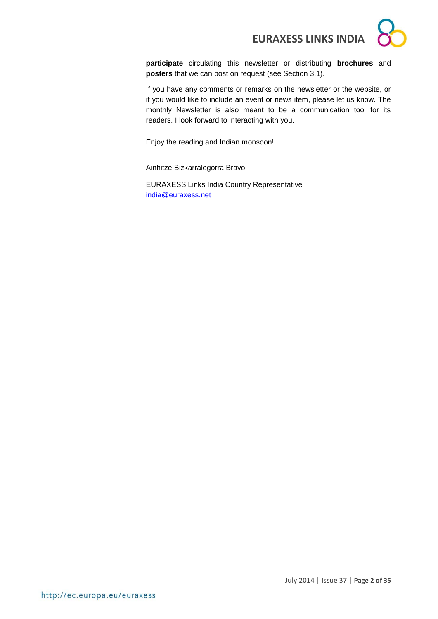**participate** circulating this newsletter or distributing **brochures** and **posters** that we can post on request (see Section 3.1).

If you have any comments or remarks on the newsletter or the website, or if you would like to include an event or news item, please let us know. The monthly Newsletter is also meant to be a communication tool for its readers. I look forward to interacting with you.

Enjoy the reading and Indian monsoon!

Ainhitze Bizkarralegorra Bravo

EURAXESS Links India Country Representative [india@euraxess.net](mailto:aurelie.pachkoff@euraxess.net)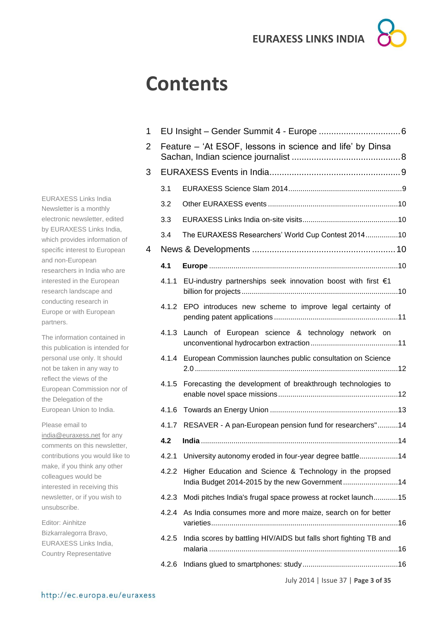# **Contents**

1 EU Insight – Gender Summit 4 - Europe [.................................6](#page-5-0) 2 Feature – ['At ESOF, lessons in science and life' by Dinsa](#page-7-0)  [Sachan, Indian science journalist](#page-7-0) ............................................8 3 [EURAXESS Events in India.....................................................9](#page-8-0) 3.1 [EURAXESS Science Slam 2014........................................................9](#page-8-1) 3.2 Other EURAXESS events [................................................................10](#page-9-0) 3.3 [EURAXESS Links India on-site visits...............................................10](#page-9-1) 3.4 [The EURAXESS Researchers' World Cup Contest 2014................10](#page-9-2) 4 News & Developments [..........................................................10](#page-9-3) **4.1 Europe** [.............................................................................................10](#page-9-4) 4.1.1 [EU-industry partnerships seek innovation boost with first €1](#page-9-5)  billion for projects [.............................................................................10](#page-9-5) 4.1.2 [EPO introduces new scheme to improve legal certainty of](#page-10-0)  pending patent applications [.............................................................11](#page-10-0) 4.1.3 [Launch of European science & technology network on](#page-10-1)  [unconventional hydrocarbon extraction...........................................11](#page-10-1) 4.1.4 [European Commission launches public consultation on Science](#page-11-0)  2.0 [....................................................................................................12](#page-11-0) 4.1.5 [Forecasting the development of breakthrough technologies to](#page-11-1)  [enable novel space missions...........................................................12](#page-11-1) 4.1.6 Towards an Energy Union [...............................................................13](#page-12-0) 4.1.7 RESAVER - [A pan-European pension fund for researchers"..........14](#page-13-0) **4.2 India** [.................................................................................................14](#page-13-1) 4.2.1 [University autonomy eroded in four-year degree battle...................14](#page-13-2) 4.2.2 [Higher Education and Science & Technology in the propsed](#page-13-3)  [India Budget 2014-2015 by the new Government](#page-13-3) ...........................14 4.2.3 [Modi pitches India's frugal space prowess at rocket launch............15](#page-14-0) 4.2.4 [As India consumes more and more maize, search on for better](#page-15-0)  [varieties............................................................................................16](#page-15-0) 4.2.5 [India scores by battling HIV/AIDS but falls short fighting TB and](#page-15-1)  malaria [.............................................................................................16](#page-15-1) 4.2.6 [Indians glued to smartphones: study...............................................16](#page-15-2)

EURAXESS Links India Newsletter is a monthly electronic newsletter, edited by EURAXESS Links India, which provides information of specific interest to European and non-European researchers in India who are interested in the European research landscape and conducting research in Europe or with European partners.

The information contained in this publication is intended for personal use only. It should not be taken in any way to reflect the views of the European Commission nor of the Delegation of the European Union to India.

Please email to [india@euraxess.net](mailto:india@euraxess.net) for any comments on this newsletter, contributions you would like to make, if you think any other colleagues would be interested in receiving this newsletter, or if you wish to unsubscribe.

Editor: Ainhitze Bizkarralegorra Bravo, EURAXESS Links India, Country Representative

July 2014 | Issue 37 | **Page 3 of 35**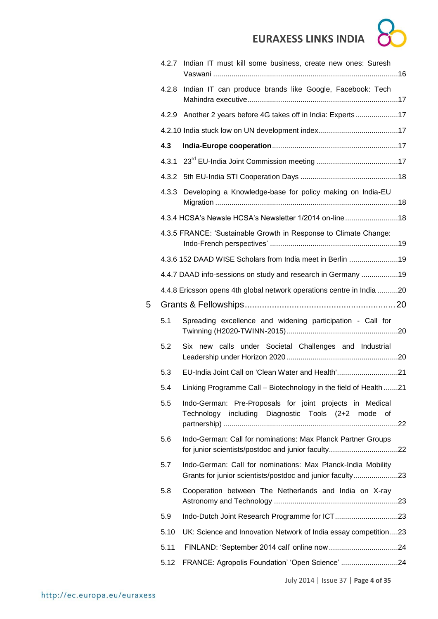| × |  |
|---|--|
|   |  |
|   |  |
|   |  |

|   |       | 4.2.7 Indian IT must kill some business, create new ones: Suresh                                                          |
|---|-------|---------------------------------------------------------------------------------------------------------------------------|
|   | 4.2.8 | Indian IT can produce brands like Google, Facebook: Tech                                                                  |
|   | 4.2.9 | Another 2 years before 4G takes off in India: Experts17                                                                   |
|   |       |                                                                                                                           |
|   | 4.3   |                                                                                                                           |
|   | 4.3.1 |                                                                                                                           |
|   | 4.3.2 |                                                                                                                           |
|   | 4.3.3 | Developing a Knowledge-base for policy making on India-EU                                                                 |
|   |       | 4.3.4 HCSA's Newsle HCSA's Newsletter 1/2014 on-line18                                                                    |
|   |       | 4.3.5 FRANCE: 'Sustainable Growth in Response to Climate Change:                                                          |
|   |       | 4.3.6 152 DAAD WISE Scholars from India meet in Berlin 19                                                                 |
|   |       | 4.4.7 DAAD info-sessions on study and research in Germany 19                                                              |
|   |       | 4.4.8 Ericsson opens 4th global network operations centre in India 20                                                     |
| 5 |       |                                                                                                                           |
|   | 5.1   | Spreading excellence and widening participation - Call for                                                                |
|   | 5.2   | Six new calls under Societal Challenges and Industrial                                                                    |
|   | 5.3   | EU-India Joint Call on 'Clean Water and Health'21                                                                         |
|   | 5.4   | Linking Programme Call - Biotechnology in the field of Health 21                                                          |
|   | 5.5   | Indo-German: Pre-Proposals for joint projects in Medical<br>Technology including Diagnostic Tools (2+2 mode of            |
|   | 5.6   | Indo-German: Call for nominations: Max Planck Partner Groups                                                              |
|   | 5.7   | Indo-German: Call for nominations: Max Planck-India Mobility<br>Grants for junior scientists/postdoc and junior faculty23 |
|   | 5.8   | Cooperation between The Netherlands and India on X-ray                                                                    |
|   | 5.9   |                                                                                                                           |
|   | 5.10  | UK: Science and Innovation Network of India essay competition23                                                           |
|   | 5.11  |                                                                                                                           |
|   | 5.12  | FRANCE: Agropolis Foundation' 'Open Science' 24                                                                           |
|   |       |                                                                                                                           |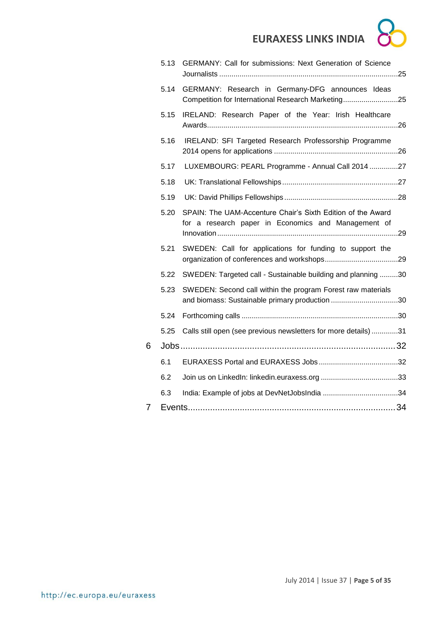|   | 5.13 | GERMANY: Call for submissions: Next Generation of Science                                                          |
|---|------|--------------------------------------------------------------------------------------------------------------------|
|   | 5.14 | GERMANY: Research in Germany-DFG announces Ideas<br>Competition for International Research Marketing25             |
|   | 5.15 | IRELAND: Research Paper of the Year: Irish Healthcare                                                              |
|   | 5.16 | IRELAND: SFI Targeted Research Professorship Programme                                                             |
|   | 5.17 | LUXEMBOURG: PEARL Programme - Annual Call 2014 27                                                                  |
|   | 5.18 |                                                                                                                    |
|   | 5.19 |                                                                                                                    |
|   | 5.20 | SPAIN: The UAM-Accenture Chair's Sixth Edition of the Award<br>for a research paper in Economics and Management of |
|   | 5.21 | SWEDEN: Call for applications for funding to support the                                                           |
|   | 5.22 | SWEDEN: Targeted call - Sustainable building and planning 30                                                       |
|   | 5.23 | SWEDEN: Second call within the program Forest raw materials<br>and biomass: Sustainable primary production 30      |
|   | 5.24 |                                                                                                                    |
|   | 5.25 | Calls still open (see previous newsletters for more details) 31                                                    |
| 6 |      |                                                                                                                    |
|   | 6.1  |                                                                                                                    |
|   | 6.2  |                                                                                                                    |
|   | 6.3  |                                                                                                                    |
| 7 |      |                                                                                                                    |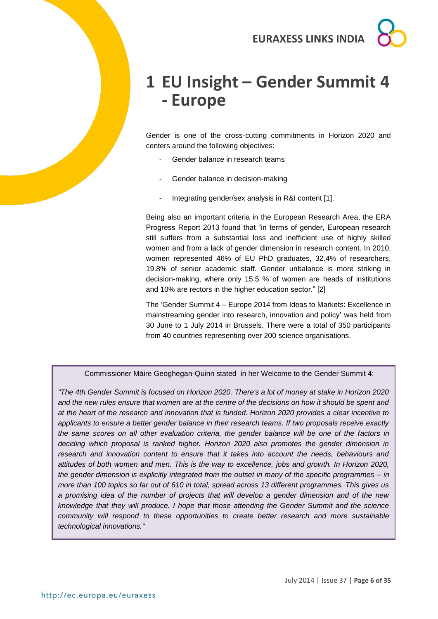## <span id="page-5-0"></span>**1 EU Insight – Gender Summit 4 - Europe**

Gender is one of the cross-cutting commitments in Horizon 2020 and centers around the following objectives:

- Gender balance in research teams
- Gender balance in decision-making
- Integrating gender/sex analysis in R&I content [1].

Being also an important criteria in the European Research Area, the ERA Progress Report 2013 found that "in terms of gender, European research still suffers from a substantial loss and inefficient use of highly skilled women and from a lack of gender dimension in research content. In 2010, women represented 46% of EU PhD graduates, 32.4% of researchers, 19.8% of senior academic staff. Gender unbalance is more striking in decision-making, where only 15.5 % of women are heads of institutions and 10% are rectors in the higher education sector." [2]

The 'Gender Summit 4 – Europe 2014 from Ideas to Markets: Excellence in mainstreaming gender into research, innovation and policy' was held from 30 June to 1 July 2014 in Brussels. There were a total of 350 participants from 40 countries representing over 200 science organisations.

Commissioner Máire Geoghegan-Quinn stated in her Welcome to the Gender Summit 4:

*"The 4th Gender Summit is focused on Horizon 2020. There's a lot of money at stake in Horizon 2020 and the new rules ensure that women are at the centre of the decisions on how it should be spent and at the heart of the research and innovation that is funded. Horizon 2020 provides a clear incentive to applicants to ensure a better gender balance in their research teams. If two proposals receive exactly the same scores on all other evaluation criteria, the gender balance will be one of the factors in deciding which proposal is ranked higher. Horizon 2020 also promotes the gender dimension in research and innovation content to ensure that it takes into account the needs, behaviours and attitudes of both women and men. This is the way to excellence, jobs and growth. In Horizon 2020, the gender dimension is explicitly integrated from the outset in many of the specific programmes – in more than 100 topics so far out of 610 in total, spread across 13 different programmes. This gives us a promising idea of the number of projects that will develop a gender dimension and of the new knowledge that they will produce. I hope that those attending the Gender Summit and the science community will respond to these opportunities to create better research and more sustainable technological innovations."*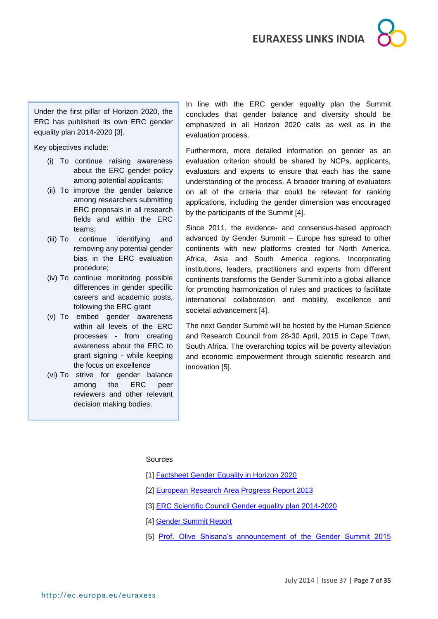

Under the first pillar of Horizon 2020, the ERC has published its own ERC gender equality plan 2014-2020 [3].

Key objectives include:

- (i) To continue raising awareness about the ERC gender policy among potential applicants;
- (ii) To improve the gender balance among researchers submitting ERC proposals in all research fields and within the ERC teams;
- (iii) To continue identifying and removing any potential gender bias in the ERC evaluation procedure;
- (iv) To continue monitoring possible differences in gender specific careers and academic posts, following the ERC grant
- (v) To embed gender awareness within all levels of the ERC processes - from creating awareness about the ERC to grant signing - while keeping the focus on excellence
- (vi) To strive for gender balance among the ERC peer reviewers and other relevant decision making bodies.

In line with the ERC gender equality plan the Summit concludes that gender balance and diversity should be emphasized in all Horizon 2020 calls as well as in the evaluation process.

Furthermore, more detailed information on gender as an evaluation criterion should be shared by NCPs, applicants, evaluators and experts to ensure that each has the same understanding of the process. A broader training of evaluators on all of the criteria that could be relevant for ranking applications, including the gender dimension was encouraged by the participants of the Summit [4].

Since 2011, the evidence- and consensus-based approach advanced by Gender Summit – Europe has spread to other continents with new platforms created for North America, Africa, Asia and South America regions. Incorporating institutions, leaders, practitioners and experts from different continents transforms the Gender Summit into a global alliance for promoting harmonization of rules and practices to facilitate international collaboration and mobility, excellence and societal advancement [4].

The next Gender Summit will be hosted by the Human Science and Research Council from 28-30 April, 2015 in Cape Town, South Africa. The overarching topics will be poverty alleviation and economic empowerment through scientific research and innovation [5].

#### Sources

- [1] Factsheet Gender [Equality in Horizon 2020](https://ec.europa.eu/programmes/horizon2020/sites/horizon2020/files/FactSheet_Gender_2.pdf)
- [2] [European Research Area Progress Report 2013](http://www.epws.net/2013/09/european-research-area-progress-report.html)
- [3] [ERC Scientific Council Gender equality plan 2014-2020](http://erc.europa.eu/sites/default/files/document/file/ERC_ScC_Gender_Equality_Plan_2014-2020.pdf)
- [4] [Gender Summit Report](http://gender-summit.com/images/Docs/GS4_EU_2014_Report.pdf)
- [5] [Prof. Olive Shisana's announcement of the Gender Summit 2015](https://www.youtube.com/watch?v=AgK01o8ayao&list=PL3M-oxmP-dHHHWAF9wwiRb5eFq9kIXoP2)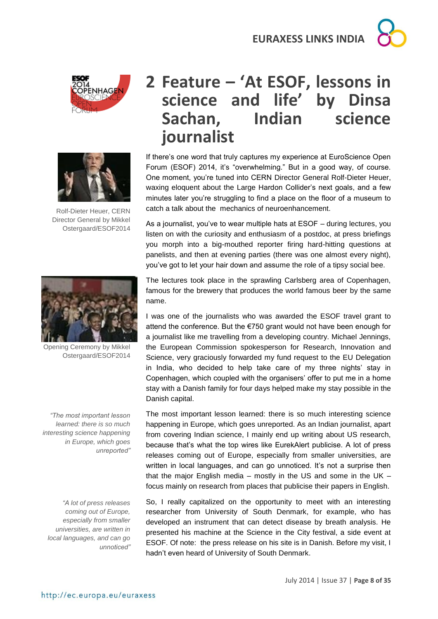

Rolf-Dieter Heuer, CERN Director General by Mikkel Ostergaard/ESOF2014



Opening Ceremony by Mikkel Ostergaard/ESOF2014

*"The most important lesson learned: there is so much interesting science happening in Europe, which goes unreported"*

*"A lot of press releases coming out of Europe, especially from smaller universities, are written in local languages, and can go unnoticed"*

## <span id="page-7-0"></span>**2 Feature – 'At ESOF, lessons in science and life' by Dinsa Sachan, Indian science journalist**

If there's one word that truly captures my experience at EuroScience Open Forum (ESOF) 2014, it's "overwhelming." But in a good way, of course. One moment, you're tuned into CERN Director General Rolf-Dieter Heuer, waxing eloquent about the Large Hardon Collider's next goals, and a few minutes later you're struggling to find a place on the floor of a museum to catch a talk about the mechanics of neuroenhancement.

As a journalist, you've to wear multiple hats at ESOF – during lectures, you listen on with the curiosity and enthusiasm of a postdoc, at press briefings you morph into a big-mouthed reporter firing hard-hitting questions at panelists, and then at evening parties (there was one almost every night), you've got to let your hair down and assume the role of a tipsy social bee.

The lectures took place in the sprawling Carlsberg area of Copenhagen, famous for the brewery that produces the world famous beer by the same name.

I was one of the journalists who was awarded the ESOF travel grant to attend the conference. But the €750 grant would not have been enough for a journalist like me travelling from a developing country. Michael Jennings, the European Commission spokesperson for Research, Innovation and Science, very graciously forwarded my fund request to the EU Delegation in India, who decided to help take care of my three nights' stay in Copenhagen, which coupled with the organisers' offer to put me in a home stay with a Danish family for four days helped make my stay possible in the Danish capital.

The most important lesson learned: there is so much interesting science happening in Europe, which goes unreported. As an Indian journalist, apart from covering Indian science, I mainly end up writing about US research, because that's what the top wires like EurekAlert publicise. A lot of press releases coming out of Europe, especially from smaller universities, are written in local languages, and can go unnoticed. It's not a surprise then that the major English media – mostly in the US and some in the UK – focus mainly on research from places that publicise their papers in English.

So, I really capitalized on the opportunity to meet with an interesting researcher from University of South Denmark, for example, who has developed an instrument that can detect disease by breath analysis. He presented his machine at the Science in the City festival, a side event at ESOF. Of note: the press release on his site is in Danish. Before my visit, I hadn't even heard of University of South Denmark.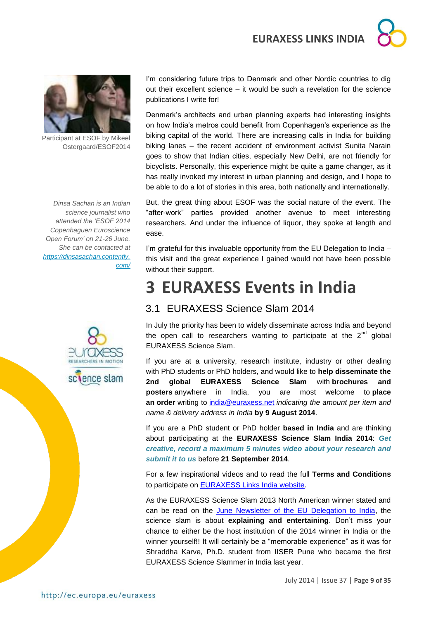



Participant at ESOF by Mikeel Ostergaard/ESOF2014

*Dinsa Sachan is an Indian science journalist who attended the 'ESOF 2014 Copenhaguen Euroscience Open Forum' on 21-26 June. She can be contacted at [https://dinsasachan.contently.](https://dinsasachan.contently.com/) [com/](https://dinsasachan.contently.com/)*



I'm considering future trips to Denmark and other Nordic countries to dig out their excellent science – it would be such a revelation for the science publications I write for!

Denmark's architects and urban planning experts had interesting insights on how India's metros could benefit from Copenhagen's experience as the biking capital of the world. There are increasing calls in India for building biking lanes – the recent accident of environment activist Sunita Narain goes to show that Indian cities, especially New Delhi, are not friendly for bicyclists. Personally, this experience might be quite a game changer, as it has really invoked my interest in urban planning and design, and I hope to be able to do a lot of stories in this area, both nationally and internationally.

But, the great thing about ESOF was the social nature of the event. The "after-work" parties provided another avenue to meet interesting researchers. And under the influence of liquor, they spoke at length and ease.

I'm grateful for this invaluable opportunity from the EU Delegation to India – this visit and the great experience I gained would not have been possible without their support.

## <span id="page-8-0"></span>**3 EURAXESS Events in India**

### <span id="page-8-1"></span>3.1 EURAXESS Science Slam 2014

In July the priority has been to widely disseminate across India and beyond the open call to researchers wanting to participate at the  $2^{nd}$  global EURAXESS Science Slam.

If you are at a university, research institute, industry or other dealing with PhD students or PhD holders, and would like to **help disseminate the 2nd global EURAXESS Science Slam** with **brochures and posters** anywhere in India, you are most welcome to **place an order** writing to [india@euraxess.net](../../../../../Downloads/india@euraxess.net) *indicating the amount per item and name & delivery address in India* **by 9 August 2014**.

If you are a PhD student or PhD holder **based in India** and are thinking about participating at the **EURAXESS Science Slam India 2014**: *Get creative, record a maximum 5 minutes video about your research and submit it to us* before **21 September 2014**.

For a few inspirational videos and to read the full **Terms and Conditions** to participate on [EURAXESS Links India website.](http://ec.europa.eu/euraxess/index.cfm/links/events/india/science_slam)

As the EURAXESS Science Slam 2013 North American winner stated and can be read on the [June Newsletter of the EU Delegation to India,](http://euindiaenewsletter.com/Vol_5_June_2014/EURAXESS.html) the science slam is about **explaining and entertaining**. Don't miss your chance to either be the host institution of the 2014 winner in India or the winner yourself!! It will certainly be a "memorable experience" as it was for Shraddha Karve, Ph.D. student from IISER Pune who became the first EURAXESS Science Slammer in India last year.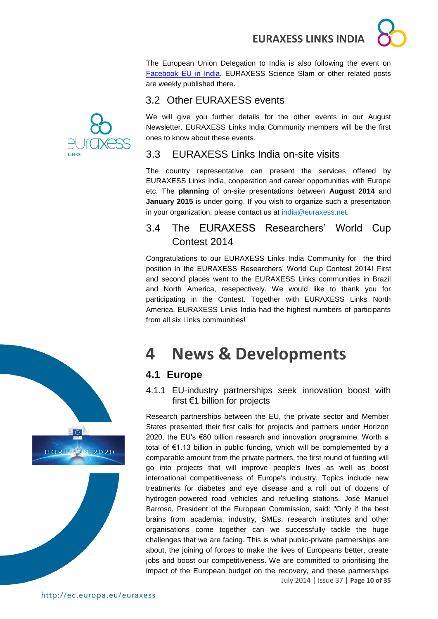The European Union Delegation to India is also following the event on [Facebook EU in India.](https://www.facebook.com/EUinIndia) EURAXESS Science Slam or other related posts are weekly published there.

### <span id="page-9-0"></span>3.2 Other EURAXESS events



### <span id="page-9-1"></span>3.3 EURAXESS Links India on-site visits

The country representative can present the services offered by EURAXESS Links India, cooperation and career opportunities with Europe etc. The **planning** of on-site presentations between **August 2014** and **January 2015** is under going. If you wish to organize such a presentation in your organization, please contact us at india@euraxess.net.

### <span id="page-9-2"></span>3.4 The EURAXESS Researchers' World Cup Contest 2014

Congratulations to our EURAXESS Links India Community for the third position in the EURAXESS Researchers' World Cup Contest 2014! First and second places went to the EURAXESS Links communities in Brazil and North America, resepectively. We would like to thank you for participating in the Contest. Together with EURAXESS Links North America, EURAXESS Links India had the highest numbers of participants from all six Links communities!

# <span id="page-9-3"></span>**4 News & Developments**

### <span id="page-9-4"></span>**4.1 Europe**

<span id="page-9-5"></span>4.1.1 EU-industry partnerships seek innovation boost with first €1 billion for projects

July 2014 | Issue 37 | **Page 10 of 35** Research partnerships between the EU, the private sector and Member States presented their first calls for projects and partners under Horizon 2020, the EU's €80 billion research and innovation programme. Worth a total of €1.13 billion in public funding, which will be complemented by a comparable amount from the private partners, the first round of funding will go into projects that will improve people's lives as well as boost international competitiveness of Europe's industry. Topics include new treatments for diabetes and eye disease and a roll out of dozens of hydrogen-powered road vehicles and refuelling stations. José Manuel Barroso, President of the European Commission, said: "Only if the best brains from academia, industry, SMEs, research institutes and other organisations come together can we successfully tackle the huge challenges that we are facing. This is what public-private partnerships are about, the joining of forces to make the lives of Europeans better, create jobs and boost our competitiveness. We are committed to prioritising the impact of the European budget on the recovery, and these partnerships





 $HORIZ(2)N2020$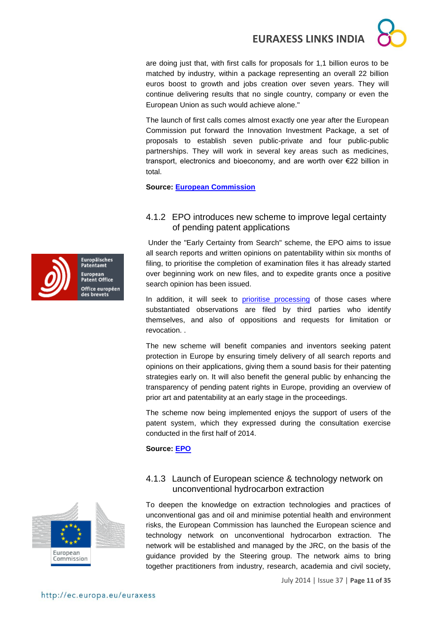are doing just that, with first calls for proposals for 1,1 billion euros to be matched by industry, within a package representing an overall 22 billion euros boost to growth and jobs creation over seven years. They will continue delivering results that no single country, company or even the European Union as such would achieve alone."

The launch of first calls comes almost exactly one year after the European Commission put forward the Innovation Investment Package, a set of proposals to establish seven public-private and four public-public partnerships. They will work in several key areas such as medicines, transport, electronics and bioeconomy, and are worth over €22 billion in total.

**Source: [European Commission](http://europa.eu/rapid/press-release_IP-14-796_en.htm)**

### <span id="page-10-0"></span>4.1.2 EPO introduces new scheme to improve legal certainty of pending patent applications

Under the "Early Certainty from Search" scheme, the EPO aims to issue all search reports and written opinions on patentability within six months of filing, to prioritise the completion of examination files it has already started over beginning work on new files, and to expedite grants once a positive search opinion has been issued.

In addition, it will seek to [prioritise processing](http://archive.epo.org/epo/pubs/oj010/06_10/06_3520.pdf) of those cases where substantiated observations are filed by third parties who identify themselves, and also of oppositions and requests for limitation or revocation. .

The new scheme will benefit companies and inventors seeking patent protection in Europe by ensuring timely delivery of all search reports and opinions on their applications, giving them a sound basis for their patenting strategies early on. It will also benefit the general public by enhancing the transparency of pending patent rights in Europe, providing an overview of prior art and patentability at an early stage in the proceedings.

The scheme now being implemented enjoys the support of users of the patent system, which they expressed during the consultation exercise conducted in the first half of 2014.

**Source: [EPO](http://www.epo.org/news-issues/news/2014/20140703.html)**



#### <span id="page-10-1"></span>4.1.3 Launch of European science & technology network on unconventional hydrocarbon extraction

To deepen the knowledge on extraction technologies and practices of unconventional gas and oil and minimise potential health and environment risks, the European Commission has launched the European science and technology network on unconventional hydrocarbon extraction. The network will be established and managed by the JRC, on the basis of the guidance provided by the Steering group. The network aims to bring together practitioners from industry, research, academia and civil society,



Europäisches Patentamt European<br>Patent Office Office européen des brevets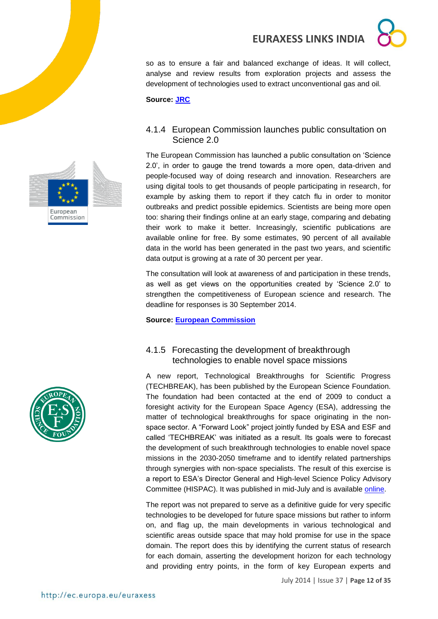so as to ensure a fair and balanced exchange of ideas. It will collect, analyse and review results from exploration projects and assess the development of technologies used to extract unconventional gas and oil.

**Source: [JRC](https://ec.europa.eu/jrc/en/news/launch-european-science-and-technology-network-unconventional-hydrocarbon-extraction)**

### <span id="page-11-0"></span>4.1.4 European Commission launches public consultation on Science 2.0

The European Commission has launched a public consultation on 'Science 2.0', in order to gauge the trend towards a more open, data-driven and people-focused way of doing research and innovation. Researchers are using digital tools to get thousands of people participating in research, for example by asking them to report if they catch flu in order to monitor outbreaks and predict possible epidemics. Scientists are being more open too: sharing their findings online at an early stage, comparing and debating their work to make it better. Increasingly, scientific publications are available online for free. By some estimates, 90 percent of all available data in the world has been generated in the past two years, and scientific data output is growing at a rate of 30 percent per year.

The consultation will look at awareness of and participation in these trends, as well as get views on the opportunities created by 'Science 2.0' to strengthen the competitiveness of European science and research. The deadline for responses is 30 September 2014.

**Source: [European Commission](http://europa.eu/rapid/press-release_IP-14-761_en.htm)**

### <span id="page-11-1"></span>4.1.5 Forecasting the development of breakthrough technologies to enable novel space missions

A new report, Technological Breakthroughs for Scientific Progress (TECHBREAK), has been published by the European Science Foundation. The foundation had been contacted at the end of 2009 to conduct a foresight activity for the European Space Agency (ESA), addressing the matter of technological breakthroughs for space originating in the nonspace sector. A "Forward Look" project jointly funded by ESA and ESF and called 'TECHBREAK' was initiated as a result. Its goals were to forecast the development of such breakthrough technologies to enable novel space missions in the 2030-2050 timeframe and to identify related partnerships through synergies with non-space specialists. The result of this exercise is a report to ESA's Director General and High-level Science Policy Advisory Committee (HISPAC). It was published in mid-July and is available [online.](http://www.esf.org/publications)

The report was not prepared to serve as a definitive guide for very specific technologies to be developed for future space missions but rather to inform on, and flag up, the main developments in various technological and scientific areas outside space that may hold promise for use in the space domain. The report does this by identifying the current status of research for each domain, asserting the development horizon for each technology and providing entry points, in the form of key European experts and



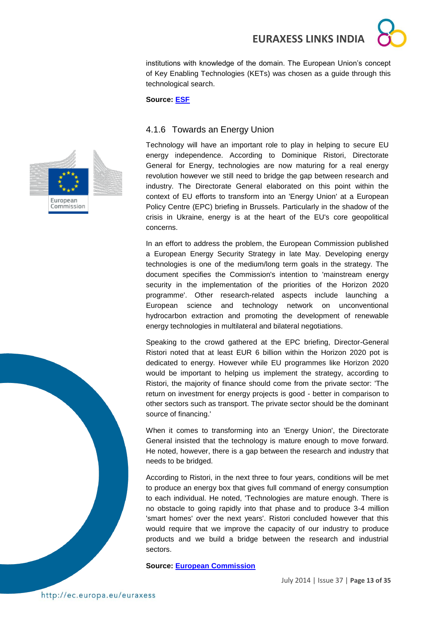institutions with knowledge of the domain. The European Union's concept of Key Enabling Technologies (KETs) was chosen as a guide through this technological search.

**Source: [ESF](http://www.esf.org/media-centre/ext-single-news/article/forecasting-the-development-of-breakthrough-technologies-to-enable-novel-space-missions-1030.html)**

#### <span id="page-12-0"></span>4.1.6 Towards an Energy Union

Technology will have an important role to play in helping to secure EU energy independence. According to Dominique Ristori, Directorate General for Energy, technologies are now maturing for a real energy revolution however we still need to bridge the gap between research and industry. The Directorate General elaborated on this point within the context of EU efforts to transform into an 'Energy Union' at a European Policy Centre (EPC) briefing in Brussels. Particularly in the shadow of the crisis in Ukraine, energy is at the heart of the EU's core geopolitical concerns.

In an effort to address the problem, the European Commission published a European Energy Security Strategy in late May. Developing energy technologies is one of the medium/long term goals in the strategy. The document specifies the Commission's intention to 'mainstream energy security in the implementation of the priorities of the Horizon 2020 programme'. Other research-related aspects include launching a European science and technology network on unconventional hydrocarbon extraction and promoting the development of renewable energy technologies in multilateral and bilateral negotiations.

Speaking to the crowd gathered at the EPC briefing, Director-General Ristori noted that at least EUR 6 billion within the Horizon 2020 pot is dedicated to energy. However while EU programmes like Horizon 2020 would be important to helping us implement the strategy, according to Ristori, the majority of finance should come from the private sector: 'The return on investment for energy projects is good - better in comparison to other sectors such as transport. The private sector should be the dominant source of financing.'

When it comes to transforming into an 'Energy Union', the Directorate General insisted that the technology is mature enough to move forward. He noted, however, there is a gap between the research and industry that needs to be bridged.

According to Ristori, in the next three to four years, conditions will be met to produce an energy box that gives full command of energy consumption to each individual. He noted, 'Technologies are mature enough. There is no obstacle to going rapidly into that phase and to produce 3-4 million 'smart homes' over the next years'. Ristori concluded however that this would require that we improve the capacity of our industry to produce products and we build a bridge between the research and industrial sectors.

**Source: [European Commission](http://cordis.europa.eu/news/rcn/36654_en.html)**



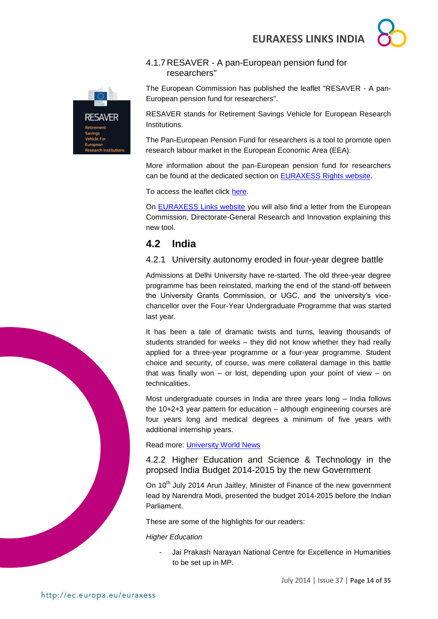

### <span id="page-13-0"></span>4.1.7RESAVER - A pan-European pension fund for researchers"

The European Commission has published the leaflet "RESAVER - A pan-European pension fund for researchers".

RESAVER stands for Retirement Savings Vehicle for European Research Institutions.

The Pan-European Pension Fund for researchers is a tool to promote open research labour market in the European Economic Area (EEA).

More information about the pan-European pension fund for researchers can be found at the dedicated section on [EURAXESS Rights website.](http://ec.europa.eu/euraxess/index.cfm/rights/pensionsDocsRepo)

To access the leaflet click [here.](http://ec.europa.eu/euraxess/pdf/rights_documents/RESAVER-%20Retirement%20Savings%20Vehicle%20for%20European%20Research%20Institutions.pdf)

On [EURAXESS Links website](http://ec.europa.eu/euraxess/index.cfm/links/eurRes/india) you will also find a letter from the European Commission, Directorate-General Research and Innovation explaining this new tool.

### <span id="page-13-1"></span>**4.2 India**

### <span id="page-13-2"></span>4.2.1 University autonomy eroded in four-year degree battle

Admissions at Delhi University have re-started. The old three-year degree programme has been reinstated, marking the end of the stand-off between the University Grants Commission, or UGC, and the university's vicechancellor over the Four-Year Undergraduate Programme that was started last year.

It has been a tale of dramatic twists and turns, leaving thousands of students stranded for weeks – they did not know whether they had really applied for a three-year programme or a four-year programme. Student choice and security, of course, was mere collateral damage in this battle that was finally won – or lost, depending upon your point of view – on technicalities.

Most undergraduate courses in India are three years long – India follows the 10+2+3 year pattern for education – although engineering courses are four years long and medical degrees a minimum of five years with additional internship years.

Read more: [University World News](http://www.universityworldnews.com/article.php?story=20140702135605951)

#### <span id="page-13-3"></span>4.2.2 Higher Education and Science & Technology in the propsed India Budget 2014-2015 by the new Government

On 10<sup>th</sup> July 2014 Arun Jaitley, Minister of Finance of the new government lead by Narendra Modi, presented the budget 2014-2015 before the Indian Parliament.

These are some of the highlights for our readers:

#### *Higher Education*

- Jai Prakash Narayan National Centre for Excellence in Humanities to be set up in MP.

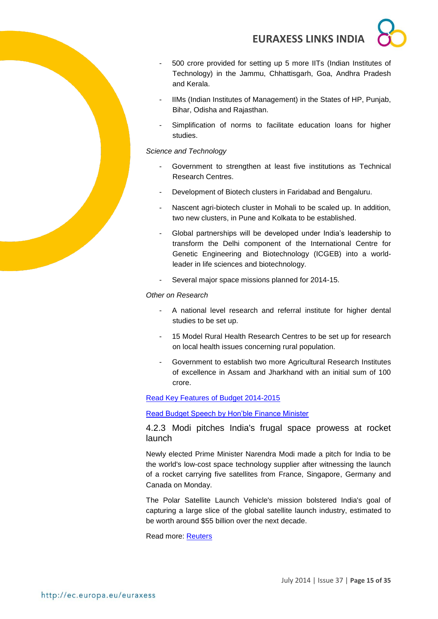- 500 crore provided for setting up 5 more IITs (Indian Institutes of Technology) in the Jammu, Chhattisgarh, Goa, Andhra Pradesh and Kerala.
- IIMs (Indian Institutes of Management) in the States of HP, Punjab, Bihar, Odisha and Rajasthan.
- Simplification of norms to facilitate education loans for higher studies.

*Science and Technology*

- Government to strengthen at least five institutions as Technical Research Centres.
- Development of Biotech clusters in Faridabad and Bengaluru.
- Nascent agri-biotech cluster in Mohali to be scaled up. In addition, two new clusters, in Pune and Kolkata to be established.
- Global partnerships will be developed under India's leadership to transform the Delhi component of the International Centre for Genetic Engineering and Biotechnology (ICGEB) into a worldleader in life sciences and biotechnology.
- Several major space missions planned for 2014-15.

*Other on Research*

- A national level research and referral institute for higher dental studies to be set up.
- 15 Model Rural Health Research Centres to be set up for research on local health issues concerning rural population.
- Government to establish two more Agricultural Research Institutes of excellence in Assam and Jharkhand with an initial sum of 100 crore.

#### [Read Key Features of Budget 2014-2015](http://indiabudget.nic.in/ub2014-15/bh/bh1.pdf)

[Read Budget Speech by Hon'ble Finance Minister](http://indiabudget.nic.in/bspeecha.asp)

<span id="page-14-0"></span>4.2.3 Modi pitches India's frugal space prowess at rocket launch

Newly elected Prime Minister Narendra Modi made a pitch for India to be the world's low-cost space technology supplier after witnessing the launch of a rocket carrying five satellites from France, Singapore, Germany and Canada on Monday.

The Polar Satellite Launch Vehicle's mission bolstered India's goal of capturing a large slice of the global satellite launch industry, estimated to be worth around \$55 billion over the next decade.

Read more: [Reuters](http://www.reuters.com/article/2014/06/30/us-india-space-idUSKBN0F51ES20140630?feedType=RSS&feedName=scienceNews)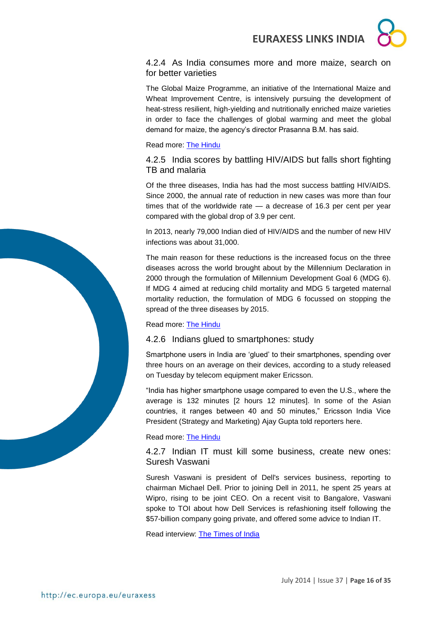

<span id="page-15-0"></span>4.2.4 As India consumes more and more maize, search on for better varieties

The Global Maize Programme, an initiative of the International Maize and Wheat Improvement Centre, is intensively pursuing the development of heat-stress resilient, high-yielding and nutritionally enriched maize varieties in order to face the challenges of global warming and meet the global demand for maize, the agency's director Prasanna B.M. has said.

Read more: [The Hindu](http://www.thehindu.com/sci-tech/agriculture/as-india-consumes-more-and-more-maize-search-on-for-better-varieties/article6238900.ece?utm_source=RSS_Feed&utm_medium=RSS&utm_campaign=RSS_Syndication)

<span id="page-15-1"></span>4.2.5 India scores by battling HIV/AIDS but falls short fighting TB and malaria

Of the three diseases, India has had the most success battling HIV/AIDS. Since 2000, the annual rate of reduction in new cases was more than four times that of the worldwide rate — a decrease of 16.3 per cent per year compared with the global drop of 3.9 per cent.

In 2013, nearly 79,000 Indian died of HIV/AIDS and the number of new HIV infections was about 31,000.

The main reason for these reductions is the increased focus on the three diseases across the world brought about by the Millennium Declaration in 2000 through the formulation of Millennium Development Goal 6 (MDG 6). If MDG 4 aimed at reducing child mortality and MDG 5 targeted maternal mortality reduction, the formulation of MDG 6 focussed on stopping the spread of the three diseases by 2015.

#### Read more: [The Hindu](http://www.thehindu.com/sci-tech/health/india-scores-by-battling-hivaids-but-falls-short-fighting-tb-and-malaria/article6234277.ece)

#### <span id="page-15-2"></span>4.2.6 Indians glued to smartphones: study

Smartphone users in India are 'glued' to their smartphones, spending over three hours on an average on their devices, according to a study released on Tuesday by telecom equipment maker Ericsson.

"India has higher smartphone usage compared to even the U.S., where the average is 132 minutes [2 hours 12 minutes]. In some of the Asian countries, it ranges between 40 and 50 minutes," Ericsson India Vice President (Strategy and Marketing) Ajay Gupta told reporters here.

#### Read more: [The Hindu](http://www.thehindu.com/sci-tech/technology/indians-glued-to-smartphones-study/article6238882.ece?utm_source=RSS_Feed&utm_medium=RSS&utm_campaign=RSS_Syndication)

<span id="page-15-3"></span>4.2.7 Indian IT must kill some business, create new ones: Suresh Vaswani

Suresh Vaswani is president of Dell's services business, reporting to chairman Michael Dell. Prior to joining Dell in 2011, he spent 25 years at Wipro, rising to be joint CEO. On a recent visit to Bangalore, Vaswani spoke to TOI about how Dell Services is refashioning itself following the \$57-billion company going private, and offered some advice to Indian IT.

Read interview: [The Times of India](http://timesofindia.indiatimes.com/tech/tech-news/Indian-IT-must-kill-some-business-create-new-ones-Suresh-Vaswani/articleshow/38940133.cms)

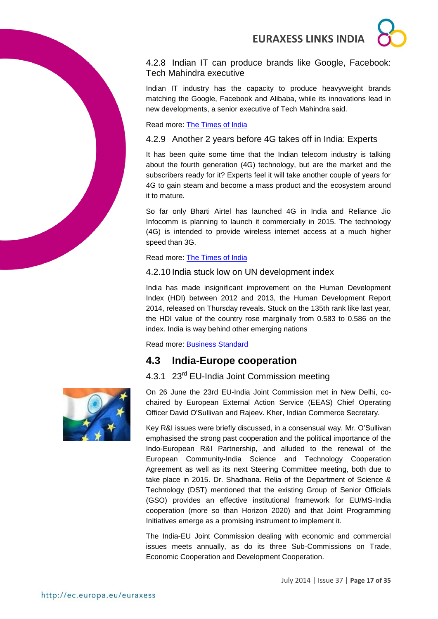<span id="page-16-0"></span>4.2.8 Indian IT can produce brands like Google, Facebook: Tech Mahindra executive

Indian IT industry has the capacity to produce heavyweight brands matching the Google, Facebook and Alibaba, while its innovations lead in new developments, a senior executive of Tech Mahindra said.

Read more: [The Times of India](http://timesofindia.indiatimes.com/tech/tech-news/Indian-IT-can-produce-brands-like-Google-Facebook-Tech-Mahindra-executive/articleshow/38493942.cms)

### <span id="page-16-1"></span>4.2.9 Another 2 years before 4G takes off in India: Experts

It has been quite some time that the Indian telecom industry is talking about the fourth generation (4G) technology, but are the market and the subscribers ready for it? Experts feel it will take another couple of years for 4G to gain steam and become a mass product and the ecosystem around it to mature.

So far only Bharti Airtel has launched 4G in India and Reliance Jio Infocomm is planning to launch it commercially in 2015. The technology (4G) is intended to provide wireless internet access at a much higher speed than 3G.

Read more: [The Times of India](http://timesofindia.indiatimes.com/tech/tech-news/Another-2-years-before-4G-takes-off-in-India-Experts/articleshow/37518886.cms)

### <span id="page-16-2"></span>4.2.10 India stuck low on UN development index

India has made insignificant improvement on the Human Development Index (HDI) between 2012 and 2013, the Human Development Report 2014, released on Thursday reveals. Stuck on the 135th rank like last year, the HDI value of the country rose marginally from 0.583 to 0.586 on the index. India is way behind other emerging nations

Read more: [Business Standard](http://www.business-standard.com/article/economy-policy/india-stuck-low-on-un-development-index-114072400860_1.html)

### <span id="page-16-3"></span>**4.3 India-Europe cooperation**

### <span id="page-16-4"></span>4.3.1 23<sup>rd</sup> EU-India Joint Commission meeting



On 26 June the 23rd EU-India Joint Commission met in New Delhi, cochaired by European External Action Service (EEAS) Chief Operating Officer David O'Sullivan and Rajeev. Kher, Indian Commerce Secretary.

Key R&I issues were briefly discussed, in a consensual way. Mr. O'Sullivan emphasised the strong past cooperation and the political importance of the Indo-European R&I Partnership, and alluded to the renewal of the European Community-India Science and Technology Cooperation Agreement as well as its next Steering Committee meeting, both due to take place in 2015. Dr. Shadhana. Relia of the Department of Science & Technology (DST) mentioned that the existing Group of Senior Officials (GSO) provides an effective institutional framework for EU/MS-India cooperation (more so than Horizon 2020) and that Joint Programming Initiatives emerge as a promising instrument to implement it.

The India-EU Joint Commission dealing with economic and commercial issues meets annually, as do its three Sub-Commissions on Trade, Economic Cooperation and Development Cooperation.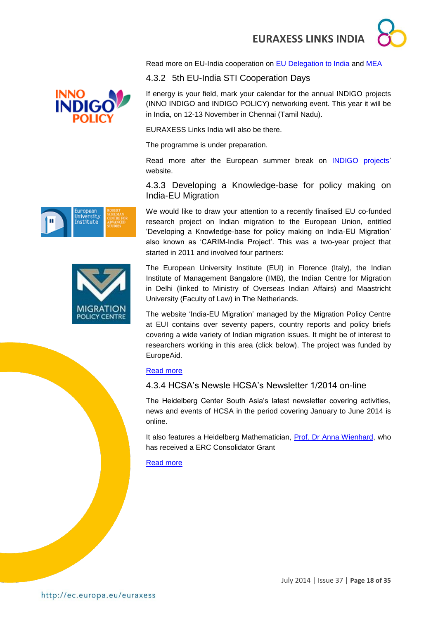Read more on EU-India cooperation on [EU Delegation to India](http://eeas.europa.eu/delegations/india/index_en.htm) and [MEA](http://www.mea.gov.in/Portal/ForeignRelation/India-EU_Relations.pdf)

### <span id="page-17-0"></span>4.3.2 5th EU-India STI Cooperation Days

If energy is your field, mark your calendar for the annual INDIGO projects (INNO INDIGO and INDIGO POLICY) networking event. This year it will be in India, on 12-13 November in Chennai (Tamil Nadu).

EURAXESS Links India will also be there.

The programme is under preparation.

Read more after the European summer break on [INDIGO projects'](http://indigoprojects.eu/)  website.

### <span id="page-17-1"></span>4.3.3 Developing a Knowledge-base for policy making on India-EU Migration

We would like to draw your attention to a recently finalised EU co-funded research project on Indian migration to the European Union, entitled 'Developing a Knowledge-base for policy making on India-EU Migration' also known as 'CARIM-India Project'. This was a two-year project that started in 2011 and involved four partners:

The European University Institute (EUI) in Florence (Italy), the Indian Institute of Management Bangalore (IMB), the Indian Centre for Migration in Delhi (linked to Ministry of Overseas Indian Affairs) and Maastricht University (Faculty of Law) in The Netherlands.

The website 'India-EU Migration' managed by the Migration Policy Centre at EUI contains over seventy papers, country reports and policy briefs covering a wide variety of Indian migration issues. It might be of interest to researchers working in this area (click below). The project was funded by EuropeAid.

### [Read more](http://www.india-eu-migration.eu/)

### <span id="page-17-2"></span>4.3.4 HCSA's Newsle HCSA's Newsletter 1/2014 on-line

The Heidelberg Center South Asia's latest newsletter covering activities, news and events of HCSA in the period covering January to June 2014 is online.

It also features a Heidelberg Mathematician, [Prof. Dr Anna Wienhard,](http://www.uni-heidelberg.de/presse/news2014/pm20140205_erc_grant_wienhard_en.html) who has received a ERC Consolidator Grant

#### [Read more](http://www.hcsa.uni-heidelberg.de/HCSA-Newsletter_Jan-Jun%202014.pdf)



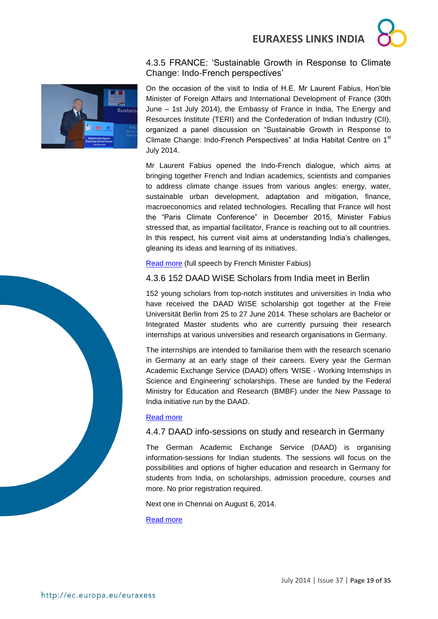

### <span id="page-18-0"></span>4.3.5 FRANCE: 'Sustainable Growth in Response to Climate Change: Indo-French perspectives'



On the occasion of the visit to India of H.E. Mr Laurent Fabius, Hon'ble Minister of Foreign Affairs and International Development of France (30th June – 1st July 2014), the Embassy of France in India, The Energy and Resources Institute (TERI) and the Confederation of Indian Industry (CII), organized a panel discussion on "Sustainable Growth in Response to Climate Change: Indo-French Perspectives" at India Habitat Centre on 1<sup>st</sup> July 2014.

Mr Laurent Fabius opened the Indo-French dialogue, which aims at bringing together French and Indian academics, scientists and companies to address climate change issues from various angles: energy, water, sustainable urban development, adaptation and mitigation, finance, macroeconomics and related technologies. Recalling that France will host the "Paris Climate Conference" in December 2015, Minister Fabius stressed that, as impartial facilitator, France is reaching out to all countries. In this respect, his current visit aims at understanding India's challenges, gleaning its ideas and learning of its initiatives.

[Read more](http://www.ambafrance-in.org/Sustainable-Growth-in-Response-to) (full speech by French Minister Fabius)

### <span id="page-18-1"></span>4.3.6 152 DAAD WISE Scholars from India meet in Berlin

152 young scholars from top-notch institutes and universities in India who have received the DAAD WISE scholarship got together at the Freie Universität Berlin from 25 to 27 June 2014. These scholars are Bachelor or Integrated Master students who are currently pursuing their research internships at various universities and research organisations in Germany.

The internships are intended to familiarise them with the research scenario in Germany at an early stage of their careers. Every year the German Academic Exchange Service (DAAD) offers 'WISE - Working Internships in Science and Engineering' scholarships. These are funded by the Federal Ministry for Education and Research (BMBF) under the New Passage to India initiative run by the DAAD.

#### [Read more](http://www.india.diplo.de/Vertretung/indien/en/__pr/Edu__Science__News/DAAD__wise.html)

### <span id="page-18-2"></span>4.4.7 DAAD info-sessions on study and research in Germany

The German Academic Exchange Service (DAAD) is organising information-sessions for Indian students. The sessions will focus on the possibilities and options of higher education and research in Germany for students from India, on scholarships, admission procedure, courses and more. No prior registration required.

Next one in Chennai on August 6, 2014.

[Read more](http://www.daaddelhi.org/en/23920/index.html)

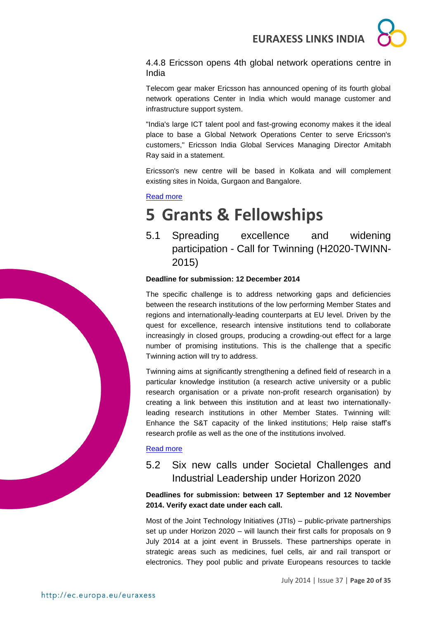

<span id="page-19-0"></span>4.4.8 Ericsson opens 4th global network operations centre in India

Telecom gear maker Ericsson has announced opening of its fourth global network operations Center in India which would manage customer and infrastructure support system.

"India's large ICT talent pool and fast-growing economy makes it the ideal place to base a Global Network Operations Center to serve Ericsson's customers," Ericsson India Global Services Managing Director Amitabh Ray said in a statement.

Ericsson's new centre will be based in Kolkata and will complement existing sites in Noida, Gurgaon and Bangalore.

#### [Read more](http://timesofindia.indiatimes.com/tech/tech-news/Ericsson-opens-4th-global-network-operations-centre-in-India/articleshow/38078615.cms)

## <span id="page-19-1"></span>**5 Grants & Fellowships**

<span id="page-19-2"></span>5.1 Spreading excellence and widening participation - Call for Twinning (H2020-TWINN-2015)

#### **Deadline for submission: 12 December 2014**

The specific challenge is to address networking gaps and deficiencies between the research institutions of the low performing Member States and regions and internationally-leading counterparts at EU level. Driven by the quest for excellence, research intensive institutions tend to collaborate increasingly in closed groups, producing a crowding-out effect for a large number of promising institutions. This is the challenge that a specific Twinning action will try to address.

Twinning aims at significantly strengthening a defined field of research in a particular knowledge institution (a research active university or a public research organisation or a private non-profit research organisation) by creating a link between this institution and at least two internationallyleading research institutions in other Member States. Twinning will: Enhance the S&T capacity of the linked institutions; Help raise staff's research profile as well as the one of the institutions involved.

#### [Read more](http://ec.europa.eu/research/participants/portal/desktop/en/opportunities/h2020/calls/h2020-twinn-2015.html)

### <span id="page-19-3"></span>5.2 Six new calls under Societal Challenges and Industrial Leadership under Horizon 2020

**Deadlines for submission: between 17 September and 12 November 2014. Verify exact date under each call.**

Most of the Joint Technology Initiatives (JTIs) – public-private partnerships set up under Horizon 2020 – will launch their first calls for proposals on 9 July 2014 at a joint event in Brussels. These partnerships operate in strategic areas such as medicines, fuel cells, air and rail transport or electronics. They pool public and private Europeans resources to tackle

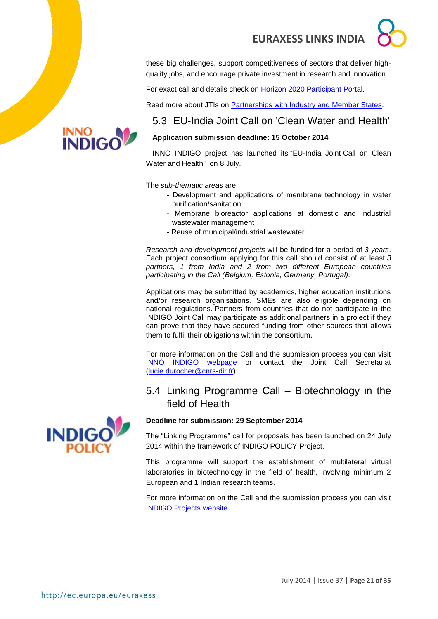these big challenges, support competitiveness of sectors that deliver highquality jobs, and encourage private investment in research and innovation.

For exact call and details check on [Horizon 2020 Participant Portal.](http://ec.europa.eu/research/participants/portal/desktop/en/opportunities/h2020)

Read more about JTIs on [Partnerships with Industry and Member States.](http://ec.europa.eu/programmes/horizon2020/en/area/partnerships-industry-and-member-states)

### <span id="page-20-0"></span>5.3 EU-India Joint Call on 'Clean Water and Health'

### **Application submission deadline: 15 October 2014**

INNO INDIGO project has launched its "EU-India Joint Call on Clean Water and Health" on 8 July.

The *sub-thematic areas* are:

- Development and applications of membrane technology in water purification/sanitation
- Membrane bioreactor applications at domestic and industrial wastewater management
- Reuse of municipal/industrial wastewater

*Research and development projects* will be funded for a period of *3 years*. Each project consortium applying for this call should consist of at least *3 partners, 1 from India and 2 from two different European countries participating in the Call (Belgium, Estonia, Germany, Portugal).*

Applications may be submitted by academics, higher education institutions and/or research organisations. SMEs are also eligible depending on national regulations. Partners from countries that do not participate in the INDIGO Joint Call may participate as additional partners in a project if they can prove that they have secured funding from other sources that allows them to fulfil their obligations within the consortium.

For more information on the Call and the submission process you can visit [INNO INDIGO webpage](http://indigoprojects.eu/funding/inno-indigo-calls/ipp_1) or contact the Joint Call Secretariat [\(lucie.durocher@cnrs-dir.fr\)](lucie.durocher@cnrs-dir.fr).

### <span id="page-20-1"></span>5.4 Linking Programme Call – Biotechnology in the field of Health

### **Deadline for submission: 29 September 2014**

The "Linking Programme" call for proposals has been launched on 24 July 2014 within the framework of INDIGO POLICY Project.

This programme will support the establishment of multilateral virtual laboratories in biotechnology in the field of health, involving minimum 2 European and 1 Indian research teams.

For more information on the Call and the submission process you can visit [INDIGO Projects website.](http://indigoprojects.eu/funding/indigo-policy-twinning)



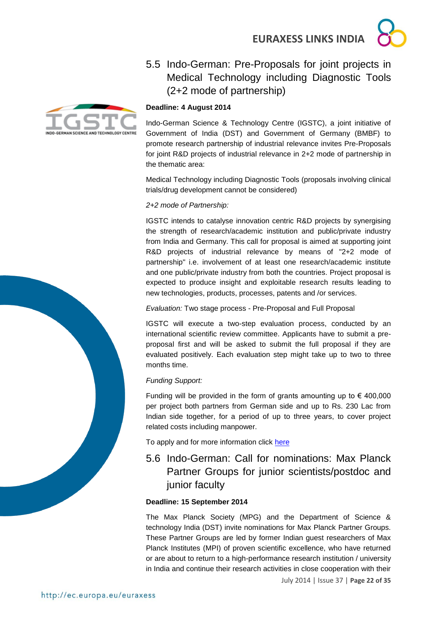

### <span id="page-21-0"></span>5.5 Indo-German: Pre-Proposals for joint projects in Medical Technology including Diagnostic Tools (2+2 mode of partnership)



Indo-German Science & Technology Centre (IGSTC), a joint initiative of Government of India (DST) and Government of Germany (BMBF) to promote research partnership of industrial relevance invites Pre-Proposals for joint R&D projects of industrial relevance in 2+2 mode of partnership in the thematic area:

Medical Technology including Diagnostic Tools (proposals involving clinical trials/drug development cannot be considered)

#### *2+2 mode of Partnership:*

IGSTC intends to catalyse innovation centric R&D projects by synergising the strength of research/academic institution and public/private industry from India and Germany. This call for proposal is aimed at supporting joint R&D projects of industrial relevance by means of "2+2 mode of partnership" i.e. involvement of at least one research/academic institute and one public/private industry from both the countries. Project proposal is expected to produce insight and exploitable research results leading to new technologies, products, processes, patents and /or services.

*Evaluation:* Two stage process - Pre-Proposal and Full Proposal

IGSTC will execute a two-step evaluation process, conducted by an international scientific review committee. Applicants have to submit a preproposal first and will be asked to submit the full proposal if they are evaluated positively. Each evaluation step might take up to two to three months time.

#### *Funding Support:*

Funding will be provided in the form of grants amounting up to  $\epsilon$  400,000 per project both partners from German side and up to Rs. 230 Lac from Indian side together, for a period of up to three years, to cover project related costs including manpower.

To apply and for more information click [here](http://www.igstc.org/)

<span id="page-21-1"></span>5.6 Indo-German: Call for nominations: Max Planck Partner Groups for junior scientists/postdoc and junior faculty

#### **Deadline: 15 September 2014**

The Max Planck Society (MPG) and the Department of Science & technology India (DST) invite nominations for Max Planck Partner Groups. These Partner Groups are led by former Indian guest researchers of Max Planck Institutes (MPI) of proven scientific excellence, who have returned or are about to return to a high-performance research institution / university in India and continue their research activities in close cooperation with their

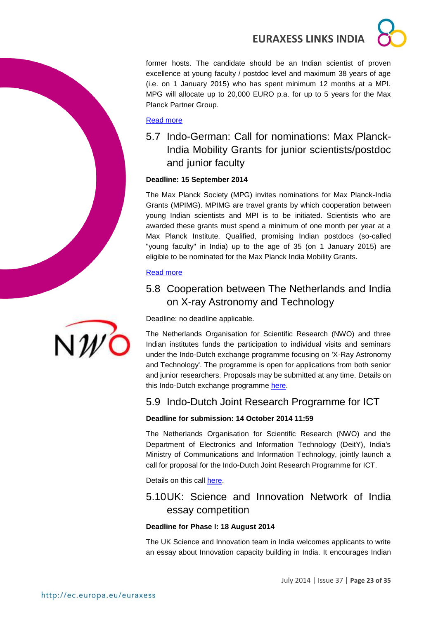former hosts. The candidate should be an Indian scientist of proven excellence at young faculty / postdoc level and maximum 38 years of age (i.e. on 1 January 2015) who has spent minimum 12 months at a MPI. MPG will allocate up to 20,000 EURO p.a. for up to 5 years for the Max Planck Partner Group.

#### [Read more](http://www.india.diplo.de/contentblob/4263920/Daten/4417984/MPGPartnerGroups_2014.pdf)

<span id="page-22-0"></span>5.7 Indo-German: Call for nominations: Max Planck-India Mobility Grants for junior scientists/postdoc and junior faculty

#### **Deadline: 15 September 2014**

The Max Planck Society (MPG) invites nominations for Max Planck-India Grants (MPIMG). MPIMG are travel grants by which cooperation between young Indian scientists and MPI is to be initiated. Scientists who are awarded these grants must spend a minimum of one month per year at a Max Planck Institute. Qualified, promising Indian postdocs (so-called "young faculty" in India) up to the age of 35 (on 1 January 2015) are eligible to be nominated for the Max Planck India Mobility Grants.

#### [Read more](http://www.india.diplo.de/contentblob/4263922/Daten/4417986/MPIMG_2014.pdf)

### <span id="page-22-1"></span>5.8 Cooperation between The Netherlands and India on X-ray Astronomy and Technology

Deadline: no deadline applicable.

The Netherlands Organisation for Scientific Research (NWO) and three Indian institutes funds the participation to individual visits and seminars under the Indo-Dutch exchange programme focusing on 'X-Ray Astronomy and Technology'. The programme is open for applications from both senior and junior researchers. Proposals may be submitted at any time. Details on this Indo-Dutch exchange programme [here.](http://www.nwo.nl/en/funding/our-funding-instruments/ew/cooperation-india-x-ray-astronomy-and-technology/cooperation-india-x-ray-astronomy-and-technology.html)

### <span id="page-22-2"></span>5.9 Indo-Dutch Joint Research Programme for ICT

#### **Deadline for submission: 14 October 2014 11:59**

The Netherlands Organisation for Scientific Research (NWO) and the Department of Electronics and Information Technology (DeitY), India's Ministry of Communications and Information Technology, jointly launch a call for proposal for the Indo-Dutch Joint Research Programme for ICT.

Details on this call [here.](http://www.nwo.nl/en/funding/our-funding-instruments/ew/indo-dutch-joint-research-programme-for-ict/indo-dutch-joint-research-programme-for-ict.html)

### <span id="page-22-3"></span>5.10UK: Science and Innovation Network of India essay competition

#### **Deadline for Phase I: 18 August 2014**

The UK Science and Innovation team in India welcomes applicants to write an essay about Innovation capacity building in India. It encourages Indian

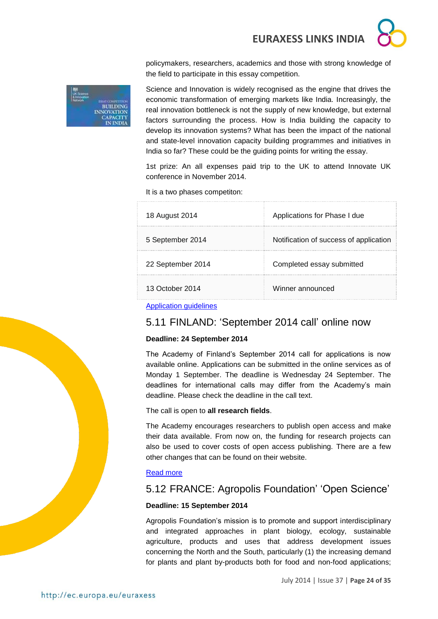policymakers, researchers, academics and those with strong knowledge of the field to participate in this essay competition.



Science and Innovation is widely recognised as the engine that drives the economic transformation of emerging markets like India. Increasingly, the real innovation bottleneck is not the supply of new knowledge, but external factors surrounding the process. How is India building the capacity to develop its innovation systems? What has been the impact of the national and state-level innovation capacity building programmes and initiatives in India so far? These could be the guiding points for writing the essay.

1st prize: An all expenses paid trip to the UK to attend Innovate UK conference in November 2014.

It is a two phases competiton:

| 18 August 2014    | Applications for Phase I due           |
|-------------------|----------------------------------------|
| 5 September 2014  | Notification of success of application |
| 22 September 2014 | Completed essay submitted              |
| 13 October 2014   | Winner announced                       |

[Application guidelines](https://www.gov.uk/government/world-location-news/uk-science-and-innovation-network-essay-competition)

### <span id="page-23-0"></span>5.11 FINLAND: 'September 2014 call' online now

#### **Deadline: 24 September 2014**

The Academy of Finland's September 2014 call for applications is now available online. Applications can be submitted in the online services as of Monday 1 September. The deadline is Wednesday 24 September. The deadlines for international calls may differ from the Academy's main deadline. Please check the deadline in the call text.

#### The call is open to **all research fields**.

The Academy encourages researchers to publish open access and make their data available. From now on, the funding for research projects can also be used to cover costs of open access publishing. There are a few other changes that can be found on their website.

#### [Read more](http://www.aka.fi/en-GB/A/Academy-of-Finland/Media-services/Releases1/September-2014-call-online-now/)

### <span id="page-23-1"></span>5.12 FRANCE: Agropolis Foundation' 'Open Science'

#### **Deadline: 15 September 2014**

Agropolis Foundation's mission is to promote and support interdisciplinary and integrated approaches in plant biology, ecology, sustainable agriculture, products and uses that address development issues concerning the North and the South, particularly (1) the increasing demand for plants and plant by-products both for food and non-food applications;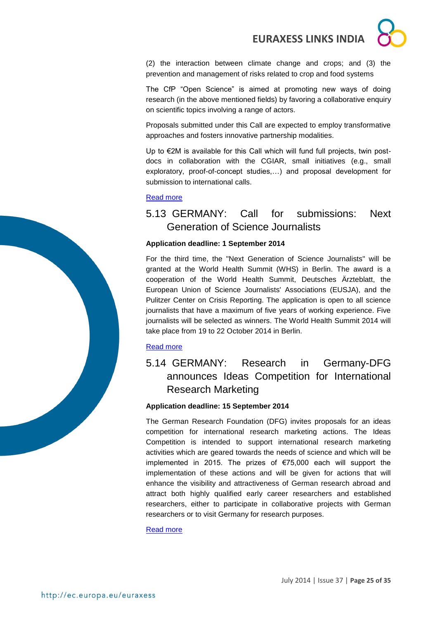(2) the interaction between climate change and crops; and (3) the prevention and management of risks related to crop and food systems

The CfP "Open Science" is aimed at promoting new ways of doing research (in the above mentioned fields) by favoring a collaborative enquiry on scientific topics involving a range of actors.

Proposals submitted under this Call are expected to employ transformative approaches and fosters innovative partnership modalities.

Up to €2M is available for this Call which will fund full projects, twin postdocs in collaboration with the CGIAR, small initiatives (e.g., small exploratory, proof-of-concept studies,…) and proposal development for submission to international calls.

#### [Read more](http://www.agropolis-fondation.fr/news/136/68/CfP-Open-Science-Research-is-now-open.html)

### <span id="page-24-0"></span>5.13 GERMANY: Call for submissions: Next Generation of Science Journalists

#### **Application deadline: 1 September 2014**

For the third time, the "Next Generation of Science Journalists" will be granted at the World Health Summit (WHS) in Berlin. The award is a cooperation of the World Health Summit, Deutsches Ärzteblatt, the European Union of Science Journalists' Associations (EUSJA), and the Pulitzer Center on Crisis Reporting. The application is open to all science journalists that have a maximum of five years of working experience. Five journalists will be selected as winners. The World Health Summit 2014 will take place from 19 to 22 October 2014 in Berlin.

#### [Read more](http://www.india.diplo.de/Vertretung/indien/en/__pr/Edu__Science__News/WHS__Award2014.html)

### <span id="page-24-1"></span>5.14 GERMANY: Research in Germany-DFG announces Ideas Competition for International Research Marketing

#### **Application deadline: 15 September 2014**

The German Research Foundation (DFG) invites proposals for an ideas competition for international research marketing actions. The Ideas Competition is intended to support international research marketing activities which are geared towards the needs of science and which will be implemented in 2015. The prizes of €75,000 each will support the implementation of these actions and will be given for actions that will enhance the visibility and attractiveness of German research abroad and attract both highly qualified early career researchers and established researchers, either to participate in collaborative projects with German researchers or to visit Germany for research purposes.

#### [Read more](http://www.india.diplo.de/Vertretung/indien/en/__pr/Edu__Science__News/DFG-ideas.html)

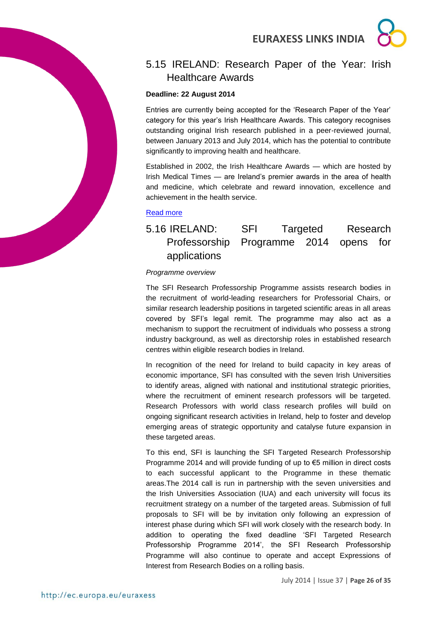

### <span id="page-25-0"></span>5.15 IRELAND: Research Paper of the Year: Irish Healthcare Awards

#### **Deadline: 22 August 2014**

Entries are currently being accepted for the 'Research Paper of the Year' category for this year's Irish Healthcare Awards. This category recognises outstanding original Irish research published in a peer-reviewed journal, between January 2013 and July 2014, which has the potential to contribute significantly to improving health and healthcare.

Established in 2002, the Irish Healthcare Awards — which are hosted by Irish Medical Times — are Ireland's premier awards in the area of health and medicine, which celebrate and reward innovation, excellence and achievement in the health service.

#### [Read more](http://research.ie/event/2014-07-22/research-paper-year-irish-healthcare-awards)

### <span id="page-25-1"></span>5.16 IRELAND: SFI Targeted Research Professorship Programme 2014 opens for applications

#### *Programme overview*

The SFI Research Professorship Programme assists research bodies in the recruitment of world-leading researchers for Professorial Chairs, or similar research leadership positions in targeted scientific areas in all areas covered by SFI's legal remit. The programme may also act as a mechanism to support the recruitment of individuals who possess a strong industry background, as well as directorship roles in established research centres within eligible research bodies in Ireland.

In recognition of the need for Ireland to build capacity in key areas of economic importance, SFI has consulted with the seven Irish Universities to identify areas, aligned with national and institutional strategic priorities, where the recruitment of eminent research professors will be targeted. Research Professors with world class research profiles will build on ongoing significant research activities in Ireland, help to foster and develop emerging areas of strategic opportunity and catalyse future expansion in these targeted areas.

To this end, SFI is launching the SFI Targeted Research Professorship Programme 2014 and will provide funding of up to €5 million in direct costs to each successful applicant to the Programme in these thematic areas.The 2014 call is run in partnership with the seven universities and the Irish Universities Association (IUA) and each university will focus its recruitment strategy on a number of the targeted areas. Submission of full proposals to SFI will be by invitation only following an expression of interest phase during which SFI will work closely with the research body. In addition to operating the fixed deadline 'SFI Targeted Research Professorship Programme 2014', the SFI Research Professorship Programme will also continue to operate and accept Expressions of Interest from Research Bodies on a rolling basis.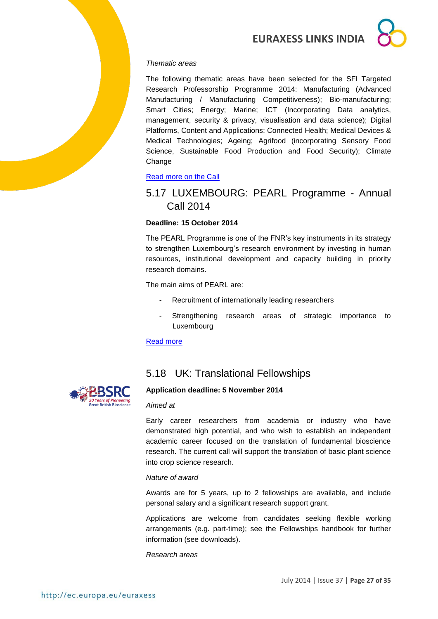

#### *Thematic areas*

The following thematic areas have been selected for the SFI Targeted Research Professorship Programme 2014: Manufacturing (Advanced Manufacturing / Manufacturing Competitiveness); Bio-manufacturing; Smart Cities; Energy; Marine; ICT (Incorporating Data analytics, management, security & privacy, visualisation and data science); Digital Platforms, Content and Applications; Connected Health; Medical Devices & Medical Technologies; Ageing; Agrifood (incorporating Sensory Food Science, Sustainable Food Production and Food Security); Climate Change

#### [Read more on the Call](http://www.sfi.ie/funding/funding-calls/open-calls/sfi-targeted-research-professorship-programme.html)

### <span id="page-26-0"></span>5.17 LUXEMBOURG: PEARL Programme - Annual Call 2014

#### **Deadline: 15 October 2014**

The PEARL Programme is one of the FNR's key instruments in its strategy to strengthen Luxembourg's research environment by investing in human resources, institutional development and capacity building in priority research domains.

The main aims of PEARL are:

- Recruitment of internationally leading researchers
- Strengthening research areas of strategic importance to Luxembourg

#### [Read more](http://fnr.lu/en/Research-Programmes/Funding-by-Call-Type/Calls/PEARL-Programme-Annual-Call-2014)



### <span id="page-26-1"></span>5.18 UK: Translational Fellowships

#### **Application deadline: 5 November 2014**

#### *Aimed at*

Early career researchers from academia or industry who have demonstrated high potential, and who wish to establish an independent academic career focused on the translation of fundamental bioscience research. The current call will support the translation of basic plant science into crop science research.

#### *Nature of award*

Awards are for 5 years, up to 2 fellowships are available, and include personal salary and a significant research support grant.

Applications are welcome from candidates seeking flexible working arrangements (e.g. part-time); see the Fellowships handbook for further information (see downloads).

*Research areas*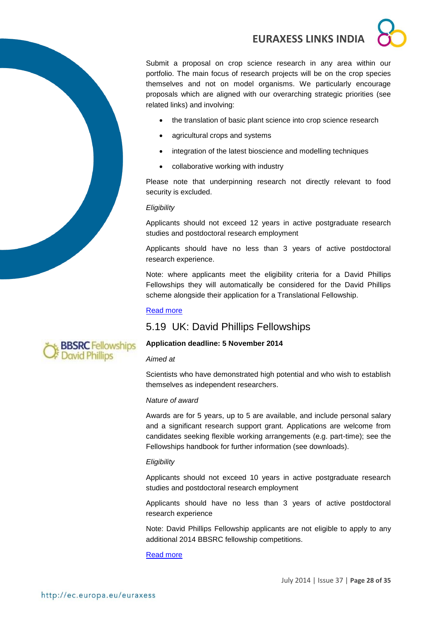Submit a proposal on crop science research in any area within our portfolio. The main focus of research projects will be on the crop species themselves and not on model organisms. We particularly encourage proposals which are aligned with our overarching strategic priorities (see related links) and involving:

- the translation of basic plant science into crop science research
- agricultural crops and systems
- integration of the latest bioscience and modelling techniques
- collaborative working with industry

Please note that underpinning research not directly relevant to food security is excluded.

#### *Eligibility*

Applicants should not exceed 12 years in active postgraduate research studies and postdoctoral research employment

Applicants should have no less than 3 years of active postdoctoral research experience.

Note: where applicants meet the eligibility criteria for a David Phillips Fellowships they will automatically be considered for the David Phillips scheme alongside their application for a Translational Fellowship.

#### [Read more](http://www.bbsrc.ac.uk/funding/fellowships/translational-fellowships.aspx)

### <span id="page-27-0"></span>5.19 UK: David Phillips Fellowships



#### **Application deadline: 5 November 2014**

#### *Aimed at*

Scientists who have demonstrated high potential and who wish to establish themselves as independent researchers.

#### *Nature of award*

Awards are for 5 years, up to 5 are available, and include personal salary and a significant research support grant. Applications are welcome from candidates seeking flexible working arrangements (e.g. part-time); see the Fellowships handbook for further information (see downloads).

#### *Eligibility*

Applicants should not exceed 10 years in active postgraduate research studies and postdoctoral research employment

Applicants should have no less than 3 years of active postdoctoral research experience

Note: David Phillips Fellowship applicants are not eligible to apply to any additional 2014 BBSRC fellowship competitions.

[Read more](http://www.bbsrc.ac.uk/funding/fellowships/david-phillips.aspx)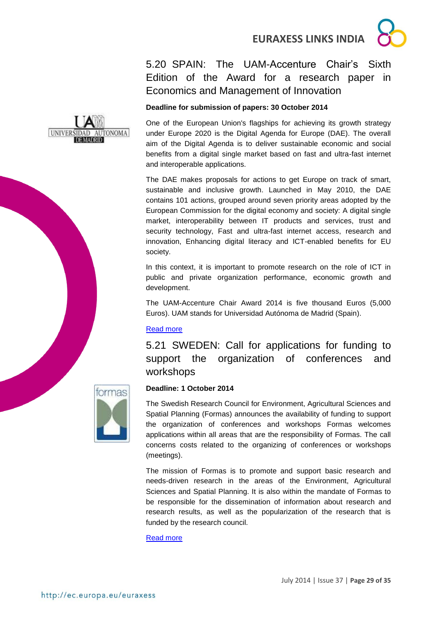### <span id="page-28-0"></span>5.20 SPAIN: The UAM-Accenture Chair's Sixth Edition of the Award for a research paper in Economics and Management of Innovation

### **Deadline for submission of papers: 30 October 2014**

One of the European Union's flagships for achieving its growth strategy under Europe 2020 is the Digital Agenda for Europe (DAE). The overall aim of the Digital Agenda is to deliver sustainable economic and social benefits from a digital single market based on fast and ultra-fast internet and interoperable applications.

The DAE makes proposals for actions to get Europe on track of smart, sustainable and inclusive growth. Launched in May 2010, the DAE contains 101 actions, grouped around seven priority areas adopted by the European Commission for the digital economy and society: A digital single market, interoperability between IT products and services, trust and security technology, Fast and ultra-fast internet access, research and innovation, Enhancing digital literacy and ICT-enabled benefits for EU society.

In this context, it is important to promote research on the role of ICT in public and private organization performance, economic growth and development.

The UAM-Accenture Chair Award 2014 is five thousand Euros (5,000 Euros). UAM stands for Universidad Autónoma de Madrid (Spain).

### [Read more](http://www.uam.es/docencia/degin/catedra/premio2014_en.html)

<span id="page-28-1"></span>5.21 SWEDEN: Call for applications for funding to support the organization of conferences and workshops



### **Deadline: 1 October 2014**

The Swedish Research Council for Environment, Agricultural Sciences and Spatial Planning (Formas) announces the availability of funding to support the organization of conferences and workshops Formas welcomes applications within all areas that are the responsibility of Formas. The call concerns costs related to the organizing of conferences or workshops (meetings).

The mission of Formas is to promote and support basic research and needs-driven research in the areas of the Environment, Agricultural Sciences and Spatial Planning. It is also within the mandate of Formas to be responsible for the dissemination of information about research and research results, as well as the popularization of the research that is funded by the research council.

[Read more](http://www.formas.se/en/financing/calls-for-proposals/call-for-applications-for-funding-to-support-the-organization-of-conferences-and-workshops)

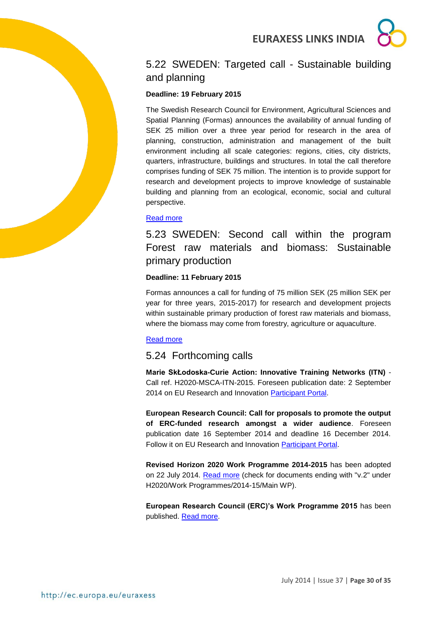

## <span id="page-29-0"></span>5.22 SWEDEN: Targeted call - Sustainable building and planning

#### **Deadline: 19 February 2015**

The Swedish Research Council for Environment, Agricultural Sciences and Spatial Planning (Formas) announces the availability of annual funding of SEK 25 million over a three year period for research in the area of planning, construction, administration and management of the built environment including all scale categories: regions, cities, city districts, quarters, infrastructure, buildings and structures. In total the call therefore comprises funding of SEK 75 million. The intention is to provide support for research and development projects to improve knowledge of sustainable building and planning from an ecological, economic, social and cultural perspective.

#### [Read more](http://www.formas.se/en/financing/calls-for-proposals/targeted-call-sustainable-building-and-planning-)

<span id="page-29-1"></span>5.23 SWEDEN: Second call within the program Forest raw materials and biomass: Sustainable primary production

#### **Deadline: 11 February 2015**

Formas announces a call for funding of 75 million SEK (25 million SEK per year for three years, 2015-2017) for research and development projects within sustainable primary production of forest raw materials and biomass, where the biomass may come from forestry, agriculture or aquaculture.

#### [Read more](http://www.formas.se/en/financing/calls-for-proposals/second-call-within-the-program-forest-raw-materials-and-biomass-sustainable-primary-production)

### <span id="page-29-2"></span>5.24 Forthcoming calls

**Marie SkŁodoska-Curie Action: Innovative Training Networks (ITN)** - Call ref. H2020-MSCA-ITN-2015. Foreseen publication date: 2 September 2014 on EU Research and Innovation [Participant Portal.](http://ec.europa.eu/research/participants/portal/desktop/en/opportunities/h2020)

**European Research Council: Call for proposals to promote the output of ERC-funded research amongst a wider audience**. Foreseen publication date 16 September 2014 and deadline 16 December 2014. Follow it on EU Research and Innovation [Participant Portal.](http://ec.europa.eu/research/participants/portal/desktop/en/home.html)

**Revised Horizon 2020 Work Programme 2014-2015** has been adopted on 22 July 2014. [Read more](http://ec.europa.eu/research/participants/portal/desktop/en/funding/reference_docs.html#-) (check for documents ending with "v.2" under H2020/Work Programmes/2014-15/Main WP).

**European Research Council (ERC)'s Work Programme 2015** has been published. [Read more.](http://erc.europa.eu/sites/default/files/document/file/ERC_Work_Programme_2015.pdf)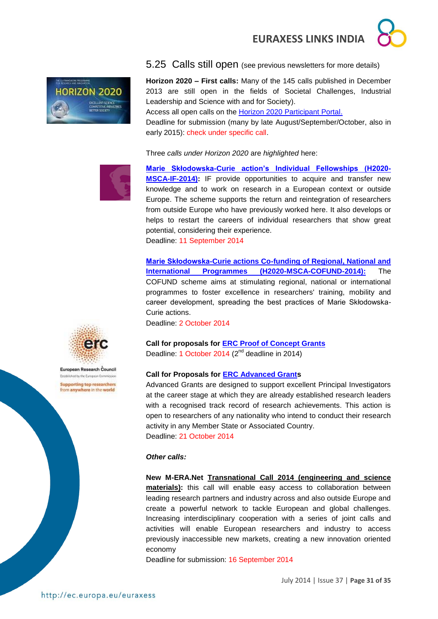

<span id="page-30-0"></span>5.25 Calls still open (see previous newsletters for more details)

**Horizon 2020 – First calls:** Many of the 145 calls published in December 2013 are still open in the fields of Societal Challenges, Industrial Leadership and Science with and for Society).

Access all open calls on the [Horizon 2020 Participant Portal.](http://ec.europa.eu/research/participants/portal/desktop/en/opportunities/h2020)

Deadline for submission (many by late August/September/October, also in early 2015): check under specific call.

Three *calls under Horizon 2020* are *highlighted* here:



**[Marie Skłodowska-Curie action's Individual Fellowships \(H2020-](http://ec.europa.eu/research/participants/portal/desktop/en/opportunities/h2020/calls/h2020-msca-if-2014.html#tab2) [MSCA-IF-2014\):](http://ec.europa.eu/research/participants/portal/desktop/en/opportunities/h2020/calls/h2020-msca-if-2014.html#tab2)** IF provide opportunities to acquire and transfer new knowledge and to work on research in a European context or outside Europe. The scheme supports the return and reintegration of researchers from outside Europe who have previously worked here. It also develops or helps to restart the careers of individual researchers that show great potential, considering their experience. Deadline: 11 September 2014

**[Marie Skłodowska-Curie actions Co-funding of Regional, National and](http://ec.europa.eu/research/participants/portal/desktop/en/opportunities/h2020/calls/h2020-msca-cofund-2014.html)  [International Programmes \(H2020-MSCA-COFUND-2014\):](http://ec.europa.eu/research/participants/portal/desktop/en/opportunities/h2020/calls/h2020-msca-cofund-2014.html)** The COFUND scheme aims at stimulating regional, national or international programmes to foster excellence in researchers' training, mobility and career development, spreading the best practices of Marie Skłodowska-Curie actions.

Deadline: 2 October 2014

**Call for proposals for [ERC Proof of Concept Grants](http://ec.europa.eu/research/participants/portal/desktop/en/opportunities/h2020/topics/56-erc-poc-2014.html)** Deadline: 1 October 2014 (2<sup>nd</sup> deadline in 2014)

#### **Call for Proposals for [ERC Advanced Grants](http://ec.europa.eu/research/participants/portal/desktop/en/opportunities/h2020/calls/erc-2014-adg.html)**

Advanced Grants are designed to support excellent Principal Investigators at the career stage at which they are already established research leaders with a recognised track record of research achievements. This action is open to researchers of any nationality who intend to conduct their research activity in any Member State or Associated Country. Deadline: 21 October 2014

#### *Other calls:*

**New M-ERA.Net [Transnational Call 2014 \(engineering and science](https://www.m-era.net/joint-call-2014)  [materials\):](https://www.m-era.net/joint-call-2014)** this call will enable easy access to collaboration between leading research partners and industry across and also outside Europe and create a powerful network to tackle European and global challenges. Increasing interdisciplinary cooperation with a series of joint calls and activities will enable European researchers and industry to access previously inaccessible new markets, creating a new innovation oriented economy

Deadline for submission: 16 September 2014



European Research Council Established by the European Commission **Supporting top researchers** from anywhere in the world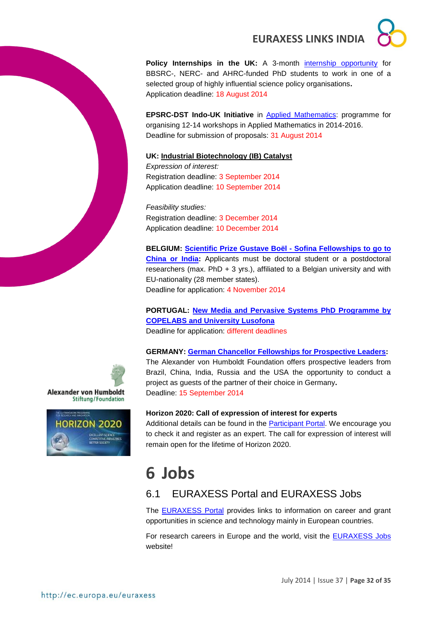

**Policy Internships in the UK:** A 3-month [internship opportunity](http://www.bbsrc.ac.uk/business/people-information/policy-internships.aspx?utm_source=feedburner&utm_medium=feed&utm_campaign=Feed%3A+bbsrcfunding+%28BBSRC+-+Funding+opportunities%29) for BBSRC-, NERC- and AHRC-funded PhD students to work in one of a selected group of highly influential science policy organisations**.** Application deadline: 18 August 2014

**EPSRC-DST Indo-UK Initiative** in [Applied Mathematics:](http://www.icms.org.uk/proposals/indo-uk_info) programme for organising 12-14 workshops in Applied Mathematics in 2014-2016. Deadline for submission of proposals: 31 August 2014

#### **UK: [Industrial Biotechnology \(IB\) Catalyst](http://www.bbsrc.ac.uk/business/collaborative-research/tsb-competitions/ib-catalyst.aspx?utm_source=feedburner&utm_medium=feed&utm_campaign=Feed%3A+bbsrcfunding+%28BBSRC+-+Funding+opportunities%29)**

*Expression of interest:* Registration deadline: 3 September 2014 Application deadline: 10 September 2014

*Feasibility studies:* Registration deadline: 3 December 2014 Application deadline: 10 December 2014

**BELGIUM: [Scientific Prize Gustave Boël -](http://www.fnrs.be/docs/Reglement-et-documents/International/FRS-FNRS_Gustave_Boel_Sofina_Fellowships_Regulations.pdf) Sofina Fellowships to go to [China or India:](http://www.fnrs.be/docs/Reglement-et-documents/International/FRS-FNRS_Gustave_Boel_Sofina_Fellowships_Regulations.pdf)** Applicants must be doctoral student or a postdoctoral researchers (max. PhD  $+3$  yrs.), affiliated to a Belgian university and with EU-nationality (28 member states). Deadline for application: 4 November 2014

**PORTUGAL: [New Media and Pervasive Systems PhD Programme by](http://siti.ulusofona.pt/~nemps/index.php?option=com_content&view=article&id=27&Itemid=151&lang=en)  [COPELABS and University Lusofona](http://siti.ulusofona.pt/~nemps/index.php?option=com_content&view=article&id=27&Itemid=151&lang=en)** Deadline for application: different deadlines

**GERMANY: [German Chancellor Fellowships for Prospective Leaders:](../../../../../../../../../../../../../AppData/Roaming/Microsoft/Word/Alexander%20von%20Humboldt%20Foundation%20website)** 

The Alexander von Humboldt Foundation offers prospective leaders from Brazil, China, India, Russia and the USA the opportunity to conduct a project as guests of the partner of their choice in Germany**.** Deadline: 15 September 2014





#### **Horizon 2020: Call of expression of interest for experts**

Additional details can be found in the [Participant Portal.](http://ec.europa.eu/research/participants/portal/desktop/en/experts/index.html) We encourage you to check it and register as an expert. The call for expression of interest will remain open for the lifetime of Horizon 2020.

## <span id="page-31-0"></span>**6 Jobs**

### <span id="page-31-1"></span>6.1 EURAXESS Portal and EURAXESS Jobs

The [EURAXESS Portal](http://ec.europa.eu/euraxess/index.cfm/general/index) provides links to information on career and grant opportunities in science and technology mainly in European countries.

For research careers in Europe and the world, visit the [EURAXESS Jobs](http://ec.europa.eu/euraxess/index.cfm/jobs/jvSearch) website!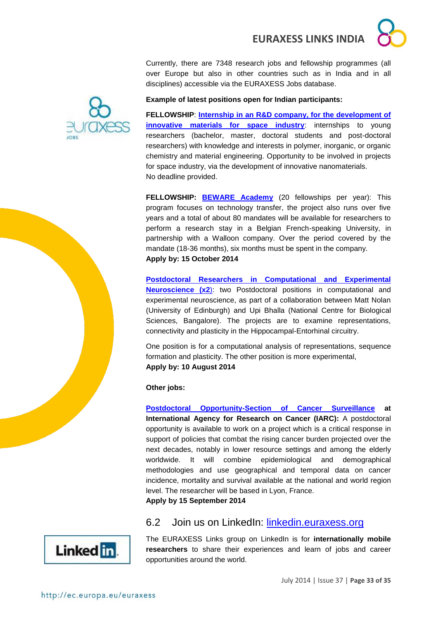Currently, there are 7348 research jobs and fellowship programmes (all over Europe but also in other countries such as in India and in all disciplines) accessible via the EURAXESS Jobs database.



#### **Example of latest positions open for Indian participants:**

**FELLOWSHIP**: **[Internship in an R&D company, for the development of](http://ec.europa.eu/euraxess/index.cfm/jobs/fgDetails/72568)  [innovative materials for space industry](http://ec.europa.eu/euraxess/index.cfm/jobs/fgDetails/72568):** internships to young researchers (bachelor, master, doctoral students and post-doctoral researchers) with knowledge and interests in polymer, inorganic, or organic chemistry and material engineering. Opportunity to be involved in projects for space industry, via the development of innovative nanomaterials. No deadline provided.

**FELLOWSHIP: [BEWARE Academy](http://ec.europa.eu/euraxess/index.cfm/jobs/fgDetails/68458)** (20 fellowships per year): This program focuses on technology transfer, the project also runs over five years and a total of about 80 mandates will be available for researchers to perform a research stay in a Belgian French-speaking University, in partnership with a Walloon company. Over the period covered by the mandate (18-36 months), six months must be spent in the company. **Apply by: 15 October 2014**

**[Postdoctoral Researchers in Computational and Experimental](http://ec.europa.eu/euraxess/index.cfm/jobs/jobDetails/33939627)  [Neuroscience \(x2](http://ec.europa.eu/euraxess/index.cfm/jobs/jobDetails/33939627)**): two Postdoctoral positions in computational and experimental neuroscience, as part of a collaboration between Matt Nolan (University of Edinburgh) and Upi Bhalla (National Centre for Biological Sciences, Bangalore). The projects are to examine representations, connectivity and plasticity in the Hippocampal-Entorhinal circuitry.

One position is for a computational analysis of representations, sequence formation and plasticity. The other position is more experimental, **Apply by: 10 August 2014**

**Other jobs:**

**[Postdoctoral Opportunity-Section of Cancer Surveillance](mailto:A%20postdoctoral%20opportunity%20is%20available%20to%20work%20on%20a%20project%20which%20is%20a%20critical%20response%20in%20support%20of) at International Agency for Research on Cancer (IARC):** A postdoctoral opportunity is available to work on a project which is a critical response in support of policies that combat the rising cancer burden projected over the next decades, notably in lower resource settings and among the elderly worldwide. It will combine epidemiological and demographical methodologies and use geographical and temporal data on cancer incidence, mortality and survival available at the national and world region level. The researcher will be based in Lyon, France. **Apply by 15 September 2014**

### <span id="page-32-0"></span>6.2 Join us on LinkedIn: [linkedin.euraxess.org](http://www.linkedin.com/groups/EURAXESS-Links-Internationally-Mobile-Researchers-4990889/about)



The EURAXESS Links group on LinkedIn is for **internationally mobile researchers** to share their experiences and learn of jobs and career opportunities around the world.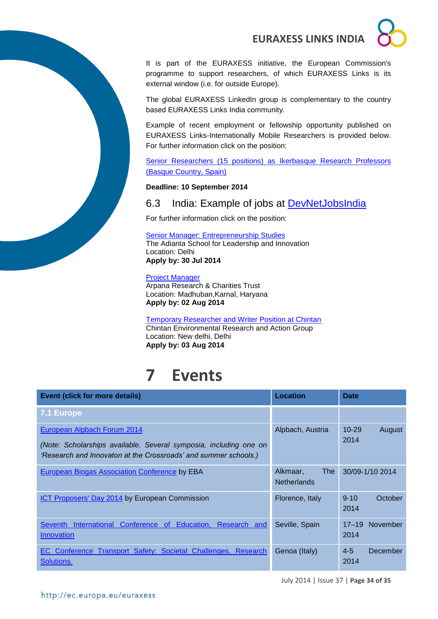

It is part of the EURAXESS initiative, the European Commission's programme to support researchers, of which EURAXESS Links is its external window (i.e. for outside Europe).

The global EURAXESS LinkedIn group is complementary to the country based EURAXESS Links India community.

Example of recent employment or fellowship opportunity published on EURAXESS Links-Internationally Mobile Researchers is provided below. For further information click on the position:

[Senior Researchers \(15 positions\) as](http://www.ikerbasque.net/) Ikerbasque Research Professors [\(Basque Country, Spain\)](http://www.ikerbasque.net/)

#### **Deadline: 10 September 2014**

### <span id="page-33-0"></span>6.3 India: Example of jobs at [DevNetJobsIndia](http://www.devnetjobsindia.org/)

For further information click on the position:

[Senior Manager: Entrepreneurship Studies](http://www.devnetjobsindia.org/jobdescription.aspx?job_id=35524) The Adianta School for Leadership and Innovation Location: Delhi **Apply by: 30 Jul 2014**

#### [Project Manager](http://www.devnetjobsindia.org/jobdescription.aspx?job_id=35807)

Arpana Research & Charities Trust Location: Madhuban,Karnal, Haryana **Apply by: 02 Aug 2014**

#### [Temporary Researcher and Writer Position at Chintan](http://www.devnetjobsindia.org/jobdescription.aspx?job_id=35661)

Chintan Environmental Research and Action Group Location: New delhi, Delhi **Apply by: 03 Aug 2014**

## <span id="page-33-1"></span>**7 Events**

| <b>Event (click for more details)</b>                                                                                                                               | Location                                     | <b>Date</b>                   |
|---------------------------------------------------------------------------------------------------------------------------------------------------------------------|----------------------------------------------|-------------------------------|
| 7.1 Europe                                                                                                                                                          |                                              |                               |
| European Alpbach Forum 2014<br>(Note: Scholarships available. Several symposia, including one on<br>'Research and Innovaton at the Crossroads' and summer schools.) | Alpbach, Austria                             | $10 - 29$<br>August<br>2014   |
| <b>European Biogas Association Conference by EBA</b>                                                                                                                | Alkmaar.<br><b>The</b><br><b>Netherlands</b> | 30/09-1/10 2014               |
| ICT Proposers' Day 2014 by European Commission                                                                                                                      | Florence, Italy                              | October<br>$9 - 10$<br>2014   |
| International Conference of Education, Research and<br><b>Seventh</b><br>Innovation                                                                                 | Seville, Spain                               | November<br>$17 - 19$<br>2014 |
| Conference Transport Safety: Societal Challenges, Research<br>EC.<br>Solutions.                                                                                     | Genoa (Italy)                                | $4 - 5$<br>December<br>2014   |